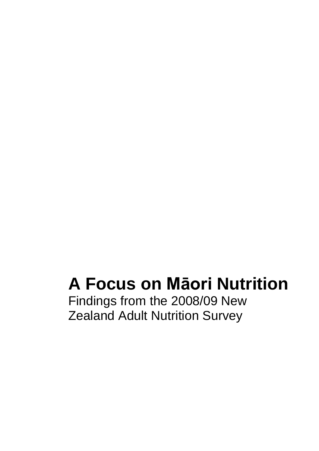# **A Focus on Māori Nutrition**

Findings from the 2008/09 New Zealand Adult Nutrition Survey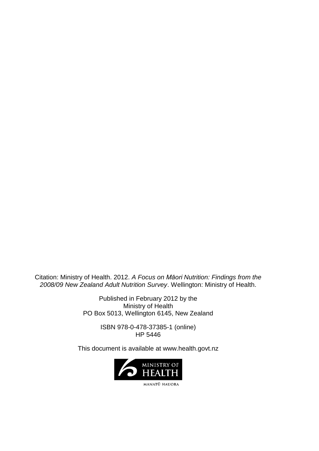Citation: Ministry of Health. 2012. *A Focus on Māori Nutrition: Findings from the 2008/09 New Zealand Adult Nutrition Survey*. Wellington: Ministry of Health.

> Published in February 2012 by the Ministry of Health PO Box 5013, Wellington 6145, New Zealand

> > ISBN 978-0-478-37385-1 (online) HP 5446

This document is available at www.health.govt.nz

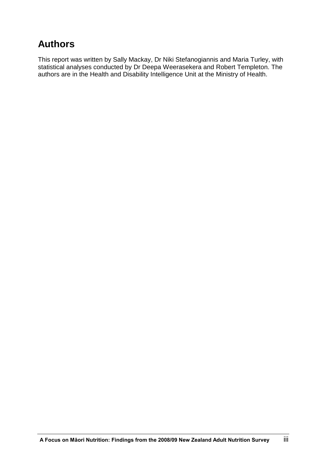# **Authors**

This report was written by Sally Mackay, Dr Niki Stefanogiannis and Maria Turley, with statistical analyses conducted by Dr Deepa Weerasekera and Robert Templeton. The authors are in the Health and Disability Intelligence Unit at the Ministry of Health.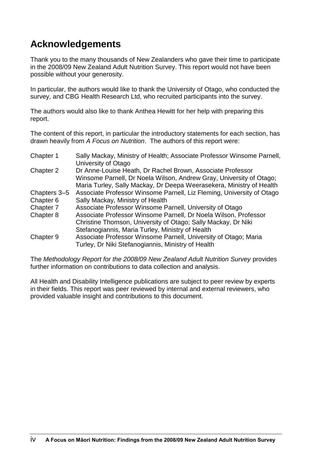# **Acknowledgements**

Thank you to the many thousands of New Zealanders who gave their time to participate in the 2008/09 New Zealand Adult Nutrition Survey. This report would not have been possible without your generosity.

In particular, the authors would like to thank the University of Otago, who conducted the survey, and CBG Health Research Ltd, who recruited participants into the survey.

The authors would also like to thank Anthea Hewitt for her help with preparing this report.

The content of this report, in particular the introductory statements for each section, has drawn heavily from *A Focus on Nutrition*. The authors of this report were:

| Chapter 1    | Sally Mackay, Ministry of Health; Associate Professor Winsome Parnell,<br>University of Otago                                                                                                             |
|--------------|-----------------------------------------------------------------------------------------------------------------------------------------------------------------------------------------------------------|
| Chapter 2    | Dr Anne-Louise Heath, Dr Rachel Brown, Associate Professor<br>Winsome Parnell, Dr Noela Wilson, Andrew Gray, University of Otago;<br>Maria Turley, Sally Mackay, Dr Deepa Weerasekera, Ministry of Health |
| Chapters 3-5 | Associate Professor Winsome Parnell, Liz Fleming, University of Otago                                                                                                                                     |
| Chapter 6    | Sally Mackay, Ministry of Health                                                                                                                                                                          |
| Chapter 7    | Associate Professor Winsome Parnell, University of Otago                                                                                                                                                  |
| Chapter 8    | Associate Professor Winsome Parnell, Dr Noela Wilson, Professor<br>Christine Thomson, University of Otago; Sally Mackay, Dr Niki<br>Stefanogiannis, Maria Turley, Ministry of Health                      |
| Chapter 9    | Associate Professor Winsome Parnell, University of Otago; Maria<br>Turley, Dr Niki Stefanogiannis, Ministry of Health                                                                                     |

The *Methodology Report for the 2008/09 New Zealand Adult Nutrition Survey* provides further information on contributions to data collection and analysis.

All Health and Disability Intelligence publications are subject to peer review by experts in their fields. This report was peer reviewed by internal and external reviewers, who provided valuable insight and contributions to this document.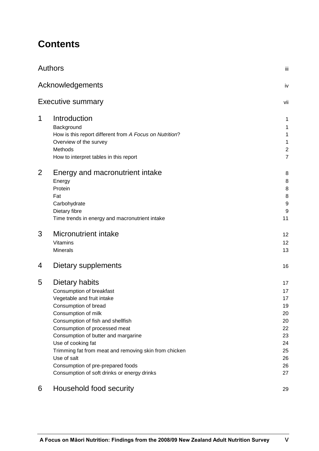# **Contents**

|                | <b>Authors</b>                                          | iii            |
|----------------|---------------------------------------------------------|----------------|
|                | Acknowledgements                                        | iv             |
|                | <b>Executive summary</b>                                | vii            |
| 1              | Introduction                                            | 1              |
|                | Background                                              | 1              |
|                | How is this report different from A Focus on Nutrition? | 1              |
|                | Overview of the survey                                  | 1              |
|                | Methods                                                 | $\overline{c}$ |
|                | How to interpret tables in this report                  | $\overline{7}$ |
| $\overline{2}$ | Energy and macronutrient intake                         | 8              |
|                | Energy                                                  | 8              |
|                | Protein                                                 | 8              |
|                | Fat                                                     | 8              |
|                | Carbohydrate                                            | 9              |
|                | Dietary fibre                                           | 9              |
|                | Time trends in energy and macronutrient intake          | 11             |
| 3              | <b>Micronutrient intake</b>                             | 12             |
|                | <b>Vitamins</b>                                         | 12             |
|                | <b>Minerals</b>                                         | 13             |
| 4              | Dietary supplements                                     | 16             |
| 5              | Dietary habits                                          | 17             |
|                | Consumption of breakfast                                | 17             |
|                | Vegetable and fruit intake                              | 17             |
|                | Consumption of bread                                    | 19             |
|                | Consumption of milk                                     | 20             |
|                | Consumption of fish and shellfish                       | 20             |
|                | Consumption of processed meat                           | 22             |
|                | Consumption of butter and margarine                     | 23             |
|                | Use of cooking fat                                      | 24             |
|                | Trimming fat from meat and removing skin from chicken   | 25             |
|                | Use of salt                                             | 26             |
|                | Consumption of pre-prepared foods                       | 26             |
|                | Consumption of soft drinks or energy drinks             | 27             |
| 6              | Household food security                                 | 29             |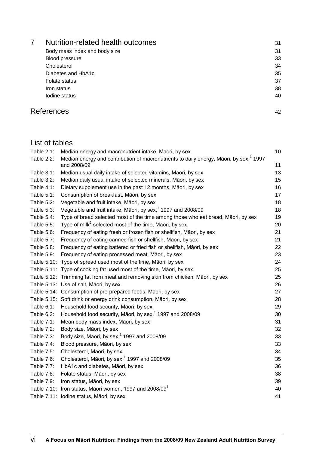| Nutrition-related health outcomes | 31 |
|-----------------------------------|----|
| Body mass index and body size     | 31 |
| <b>Blood pressure</b>             | 33 |
| Cholesterol                       | 34 |
| Diabetes and HbA1c                | 35 |
| Folate status                     | 37 |
| Iron status                       | 38 |
| Iodine status                     | 40 |
|                                   |    |

# References 42

# List of tables

| Table 2.1: | Median energy and macronutrient intake, Māori, by sex                                                             | 10 |
|------------|-------------------------------------------------------------------------------------------------------------------|----|
| Table 2.2: | Median energy and contribution of macronutrients to daily energy, Māori, by sex, <sup>1</sup> 1997<br>and 2008/09 | 11 |
| Table 3.1: | Median usual daily intake of selected vitamins, Māori, by sex                                                     | 13 |
| Table 3.2: | Median daily usual intake of selected minerals, Māori, by sex                                                     | 15 |
| Table 4.1: | Dietary supplement use in the past 12 months, Māori, by sex                                                       | 16 |
| Table 5.1: | Consumption of breakfast, Māori, by sex                                                                           | 17 |
| Table 5.2: | Vegetable and fruit intake, Māori, by sex                                                                         | 18 |
| Table 5.3: | Vegetable and fruit intake, Māori, by sex, <sup>1</sup> 1997 and 2008/09                                          | 18 |
| Table 5.4: | Type of bread selected most of the time among those who eat bread, Māori, by sex                                  | 19 |
| Table 5.5: | Type of milk <sup>2</sup> selected most of the time, Māori, by sex                                                | 20 |
| Table 5.6: | Frequency of eating fresh or frozen fish or shellfish, Māori, by sex                                              | 21 |
| Table 5.7: | Frequency of eating canned fish or shellfish, Māori, by sex                                                       | 21 |
| Table 5.8: | Frequency of eating battered or fried fish or shellfish, Māori, by sex                                            | 22 |
| Table 5.9: | Frequency of eating processed meat, Māori, by sex                                                                 | 23 |
|            | Table 5.10: Type of spread used most of the time, Māori, by sex                                                   | 24 |
|            | Table 5.11: Type of cooking fat used most of the time, Māori, by sex                                              | 25 |
|            | Table 5.12: Trimming fat from meat and removing skin from chicken, Māori, by sex                                  | 25 |
|            | Table 5.13: Use of salt, Māori, by sex                                                                            | 26 |
|            | Table 5.14: Consumption of pre-prepared foods, Māori, by sex                                                      | 27 |
|            | Table 5.15: Soft drink or energy drink consumption, Māori, by sex                                                 | 28 |
| Table 6.1: | Household food security, Māori, by sex                                                                            | 29 |
| Table 6.2: | Household food security, Māori, by sex, <sup>1</sup> 1997 and 2008/09                                             | 30 |
| Table 7.1: | Mean body mass index, Māori, by sex                                                                               | 31 |
| Table 7.2: | Body size, Māori, by sex                                                                                          | 32 |
| Table 7.3: | Body size, Māori, by sex, <sup>1</sup> 1997 and 2008/09                                                           | 33 |
| Table 7.4: | Blood pressure, Māori, by sex                                                                                     | 33 |
| Table 7.5: | Cholesterol, Māori, by sex                                                                                        | 34 |
| Table 7.6: | Cholesterol, Māori, by sex, <sup>1</sup> 1997 and 2008/09                                                         | 35 |
| Table 7.7: | HbA1c and diabetes, Māori, by sex                                                                                 | 36 |
| Table 7.8: | Folate status, Māori, by sex                                                                                      | 38 |
| Table 7.9: | Iron status, Māori, by sex                                                                                        | 39 |
|            | Table 7.10: Iron status, Māori women, 1997 and 2008/09 <sup>1</sup>                                               | 40 |
|            | Table 7.11: Iodine status, Māori, by sex                                                                          | 41 |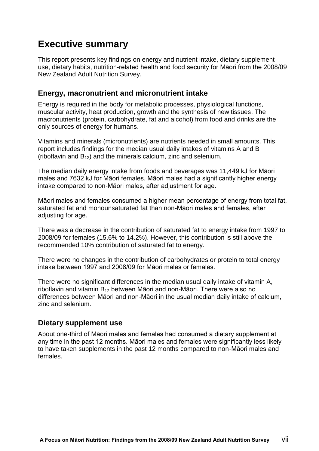# **Executive summary**

This report presents key findings on energy and nutrient intake, dietary supplement use, dietary habits, nutrition-related health and food security for Māori from the 2008/09 New Zealand Adult Nutrition Survey.

### **Energy, macronutrient and micronutrient intake**

Energy is required in the body for metabolic processes, physiological functions, muscular activity, heat production, growth and the synthesis of new tissues. The macronutrients (protein, carbohydrate, fat and alcohol) from food and drinks are the only sources of energy for humans.

Vitamins and minerals (micronutrients) are nutrients needed in small amounts. This report includes findings for the median usual daily intakes of vitamins A and B (riboflavin and  $B_{12}$ ) and the minerals calcium, zinc and selenium.

The median daily energy intake from foods and beverages was 11,449 kJ for Māori males and 7632 kJ for Māori females. Māori males had a significantly higher energy intake compared to non-Māori males, after adjustment for age.

Māori males and females consumed a higher mean percentage of energy from total fat, saturated fat and monounsaturated fat than non-Māori males and females, after adjusting for age.

There was a decrease in the contribution of saturated fat to energy intake from 1997 to 2008/09 for females (15.6% to 14.2%). However, this contribution is still above the recommended 10% contribution of saturated fat to energy.

There were no changes in the contribution of carbohydrates or protein to total energy intake between 1997 and 2008/09 for Māori males or females.

There were no significant differences in the median usual daily intake of vitamin A, riboflavin and vitamin  $B_{12}$  between Māori and non-Māori. There were also no differences between Māori and non-Māori in the usual median daily intake of calcium, zinc and selenium.

#### **Dietary supplement use**

About one-third of Māori males and females had consumed a dietary supplement at any time in the past 12 months. Māori males and females were significantly less likely to have taken supplements in the past 12 months compared to non-Māori males and females.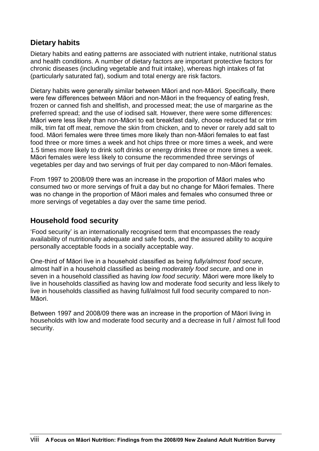## **Dietary habits**

Dietary habits and eating patterns are associated with nutrient intake, nutritional status and health conditions. A number of dietary factors are important protective factors for chronic diseases (including vegetable and fruit intake), whereas high intakes of fat (particularly saturated fat), sodium and total energy are risk factors.

Dietary habits were generally similar between Māori and non-Māori. Specifically, there were few differences between Māori and non-Māori in the frequency of eating fresh, frozen or canned fish and shellfish, and processed meat; the use of margarine as the preferred spread; and the use of iodised salt. However, there were some differences: Māori were less likely than non-Māori to eat breakfast daily, choose reduced fat or trim milk, trim fat off meat, remove the skin from chicken, and to never or rarely add salt to food. Māori females were three times more likely than non-Māori females to eat fast food three or more times a week and hot chips three or more times a week, and were 1.5 times more likely to drink soft drinks or energy drinks three or more times a week. Māori females were less likely to consume the recommended three servings of vegetables per day and two servings of fruit per day compared to non-Māori females.

From 1997 to 2008/09 there was an increase in the proportion of Māori males who consumed two or more servings of fruit a day but no change for Māori females. There was no change in the proportion of Māori males and females who consumed three or more servings of vegetables a day over the same time period.

#### **Household food security**

'Food security' is an internationally recognised term that encompasses the ready availability of nutritionally adequate and safe foods, and the assured ability to acquire personally acceptable foods in a socially acceptable way.

One-third of Māori live in a household classified as being *fully/almost food secure*, almost half in a household classified as being *moderately food secure*, and one in seven in a household classified as having *low food security*. Māori were more likely to live in households classified as having low and moderate food security and less likely to live in households classified as having full/almost full food security compared to non-Māori.

Between 1997 and 2008/09 there was an increase in the proportion of Māori living in households with low and moderate food security and a decrease in full / almost full food security.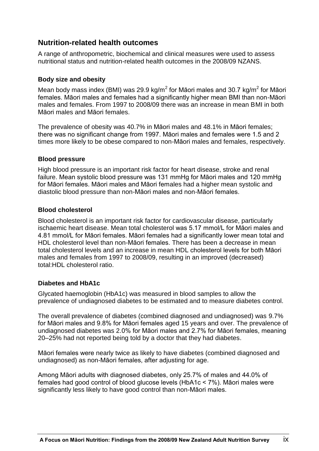### **Nutrition-related health outcomes**

A range of anthropometric, biochemical and clinical measures were used to assess nutritional status and nutrition-related health outcomes in the 2008/09 NZANS.

#### **Body size and obesity**

Mean body mass index (BMI) was 29.9 kg/m<sup>2</sup> for Māori males and 30.7 kg/m<sup>2</sup> for Māori females. Māori males and females had a significantly higher mean BMI than non-Māori males and females. From 1997 to 2008/09 there was an increase in mean BMI in both Māori males and Māori females.

The prevalence of obesity was 40.7% in Māori males and 48.1% in Māori females; there was no significant change from 1997. Māori males and females were 1.5 and 2 times more likely to be obese compared to non-Māori males and females, respectively.

#### **Blood pressure**

High blood pressure is an important risk factor for heart disease, stroke and renal failure. Mean systolic blood pressure was 131 mmHg for Māori males and 120 mmHg for Māori females. Māori males and Māori females had a higher mean systolic and diastolic blood pressure than non-Māori males and non-Māori females.

#### **Blood cholesterol**

Blood cholesterol is an important risk factor for cardiovascular disease, particularly ischaemic heart disease. Mean total cholesterol was 5.17 mmol/L for Māori males and 4.81 mmol/L for Māori females. Māori females had a significantly lower mean total and HDL cholesterol level than non-Māori females. There has been a decrease in mean total cholesterol levels and an increase in mean HDL cholesterol levels for both Māori males and females from 1997 to 2008/09, resulting in an improved (decreased) total:HDL cholesterol ratio.

#### **Diabetes and HbA1c**

Glycated haemoglobin (HbA1c) was measured in blood samples to allow the prevalence of undiagnosed diabetes to be estimated and to measure diabetes control.

The overall prevalence of diabetes (combined diagnosed and undiagnosed) was 9.7% for Māori males and 9.8% for Māori females aged 15 years and over. The prevalence of undiagnosed diabetes was 2.0% for Māori males and 2.7% for Māori females, meaning 20–25% had not reported being told by a doctor that they had diabetes.

Māori females were nearly twice as likely to have diabetes (combined diagnosed and undiagnosed) as non-Māori females, after adjusting for age.

Among Māori adults with diagnosed diabetes, only 25.7% of males and 44.0% of females had good control of blood glucose levels (HbA1c < 7%). Māori males were significantly less likely to have good control than non-Māori males.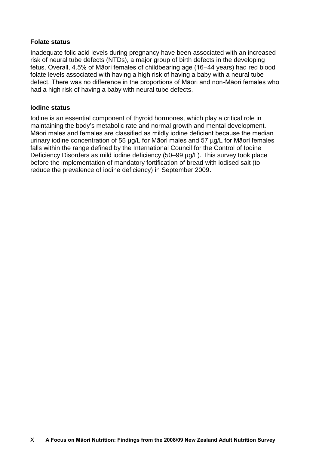#### **Folate status**

Inadequate folic acid levels during pregnancy have been associated with an increased risk of neural tube defects (NTDs), a major group of birth defects in the developing fetus. Overall, 4.5% of Māori females of childbearing age (16–44 years) had red blood folate levels associated with having a high risk of having a baby with a neural tube defect. There was no difference in the proportions of Māori and non-Māori females who had a high risk of having a baby with neural tube defects.

#### **Iodine status**

Iodine is an essential component of thyroid hormones, which play a critical role in maintaining the body's metabolic rate and normal growth and mental development. Māori males and females are classified as mildly iodine deficient because the median urinary iodine concentration of 55 µg/L for Māori males and 57 µg/L for Māori females falls within the range defined by the International Council for the Control of Iodine Deficiency Disorders as mild iodine deficiency (50–99 µg/L). This survey took place before the implementation of mandatory fortification of bread with iodised salt (to reduce the prevalence of iodine deficiency) in September 2009.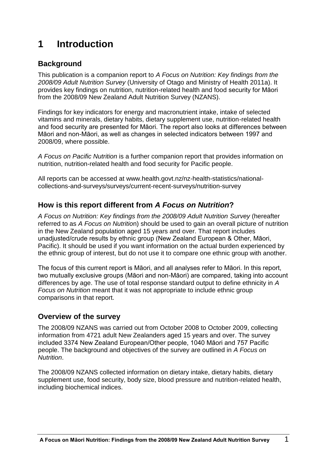# **1 Introduction**

# **Background**

This publication is a companion report to *A Focus on Nutrition: Key findings from the 2008/09 Adult Nutrition Survey* (University of Otago and Ministry of Health 2011a). It provides key findings on nutrition, nutrition-related health and food security for Māori from the 2008/09 New Zealand Adult Nutrition Survey (NZANS).

Findings for key indicators for energy and macronutrient intake, intake of selected vitamins and minerals, dietary habits, dietary supplement use, nutrition-related health and food security are presented for Māori. The report also looks at differences between Māori and non-Māori, as well as changes in selected indicators between 1997 and 2008/09, where possible.

*A Focus on Pacific Nutrition* is a further companion report that provides information on nutrition, nutrition-related health and food security for Pacific people.

All reports can be accessed at www.health.govt.nz/nz-health-statistics/nationalcollections-and-surveys/surveys/current-recent-surveys/nutrition-survey

### **How is this report different from** *A Focus on Nutrition***?**

*A Focus on Nutrition: Key findings from the 2008/09 Adult Nutrition Survey* (hereafter referred to as *A Focus on Nutritio*n) should be used to gain an overall picture of nutrition in the New Zealand population aged 15 years and over. That report includes unadjusted/crude results by ethnic group (New Zealand European & Other, Māori, Pacific). It should be used if you want information on the actual burden experienced by the ethnic group of interest, but do not use it to compare one ethnic group with another.

The focus of this current report is Māori, and all analyses refer to Māori. In this report, two mutually exclusive groups (Māori and non-Māori) are compared, taking into account differences by age. The use of total response standard output to define ethnicity in *A Focus on Nutrition* meant that it was not appropriate to include ethnic group comparisons in that report.

# **Overview of the survey**

The 2008/09 NZANS was carried out from October 2008 to October 2009, collecting information from 4721 adult New Zealanders aged 15 years and over. The survey included 3374 New Zealand European/Other people, 1040 Māori and 757 Pacific people. The background and objectives of the survey are outlined in *A Focus on Nutrition*.

The 2008/09 NZANS collected information on dietary intake, dietary habits, dietary supplement use, food security, body size, blood pressure and nutrition-related health, including biochemical indices.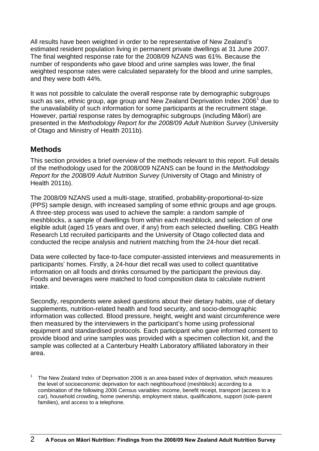All results have been weighted in order to be representative of New Zealand's estimated resident population living in permanent private dwellings at 31 June 2007. The final weighted response rate for the 2008/09 NZANS was 61%. Because the number of respondents who gave blood and urine samples was lower, the final weighted response rates were calculated separately for the blood and urine samples, and they were both 44%.

It was not possible to calculate the overall response rate by demographic subgroups such as sex, ethnic group, age group and New Zealand Deprivation Index 2006<sup>1</sup> due to the unavailability of such information for some participants at the recruitment stage. However, partial response rates by demographic subgroups (including Māori) are presented in the *Methodology Report for the 2008/09 Adult Nutrition Survey* (University of Otago and Ministry of Health 2011b).

# **Methods**

This section provides a brief overview of the methods relevant to this report. Full details of the methodology used for the 2008/009 NZANS can be found in the *Methodology Report for the 2008/09 Adult Nutrition Survey* (University of Otago and Ministry of Health 2011b).

The 2008/09 NZANS used a multi-stage, stratified, probability-proportional-to-size (PPS) sample design, with increased sampling of some ethnic groups and age groups. A three-step process was used to achieve the sample: a random sample of meshblocks, a sample of dwellings from within each meshblock, and selection of one eligible adult (aged 15 years and over, if any) from each selected dwelling. CBG Health Research Ltd recruited participants and the University of Otago collected data and conducted the recipe analysis and nutrient matching from the 24-hour diet recall.

Data were collected by face-to-face computer-assisted interviews and measurements in participants' homes. Firstly, a 24-hour diet recall was used to collect quantitative information on all foods and drinks consumed by the participant the previous day. Foods and beverages were matched to food composition data to calculate nutrient intake.

Secondly, respondents were asked questions about their dietary habits, use of dietary supplements, nutrition-related health and food security, and socio-demographic information was collected. Blood pressure, height, weight and waist circumference were then measured by the interviewers in the participant's home using professional equipment and standardised protocols. Each participant who gave informed consent to provide blood and urine samples was provided with a specimen collection kit, and the sample was collected at a Canterbury Health Laboratory affiliated laboratory in their area.

1 The New Zealand Index of Deprivation 2006 is an area-based index of deprivation, which measures the level of socioeconomic deprivation for each neighbourhood (meshblock) according to a combination of the following 2006 Census variables: income, benefit receipt, transport (access to a car), household crowding, home ownership, employment status, qualifications, support (sole-parent families), and access to a telephone.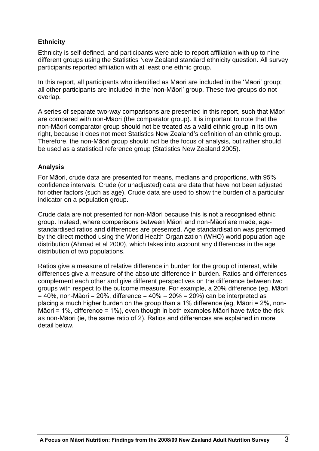#### **Ethnicity**

Ethnicity is self-defined, and participants were able to report affiliation with up to nine different groups using the Statistics New Zealand standard ethnicity question. All survey participants reported affiliation with at least one ethnic group.

In this report, all participants who identified as Māori are included in the 'Māori' group; all other participants are included in the 'non-Māori' group. These two groups do not overlap.

A series of separate two-way comparisons are presented in this report, such that Māori are compared with non-Māori (the comparator group). It is important to note that the non-Māori comparator group should not be treated as a valid ethnic group in its own right, because it does not meet Statistics New Zealand's definition of an ethnic group. Therefore, the non-Māori group should not be the focus of analysis, but rather should be used as a statistical reference group (Statistics New Zealand 2005).

#### **Analysis**

For Māori, crude data are presented for means, medians and proportions, with 95% confidence intervals. Crude (or unadjusted) data are data that have not been adjusted for other factors (such as age). Crude data are used to show the burden of a particular indicator on a population group.

Crude data are not presented for non-Māori because this is not a recognised ethnic group. Instead, where comparisons between Māori and non-Māori are made, agestandardised ratios and differences are presented. Age standardisation was performed by the direct method using the World Health Organization (WHO) world population age distribution (Ahmad et al 2000), which takes into account any differences in the age distribution of two populations.

Ratios give a measure of relative difference in burden for the group of interest, while differences give a measure of the absolute difference in burden. Ratios and differences complement each other and give different perspectives on the difference between two groups with respect to the outcome measure. For example, a 20% difference (eg, Māori  $= 40\%$ , non-Māori = 20%, difference =  $40\%$  – 20% = 20%) can be interpreted as placing a much higher burden on the group than a 1% difference (eg, Māori = 2%, non-Māori = 1%, difference = 1%), even though in both examples Māori have twice the risk as non-Māori (ie, the same ratio of 2). Ratios and differences are explained in more detail below.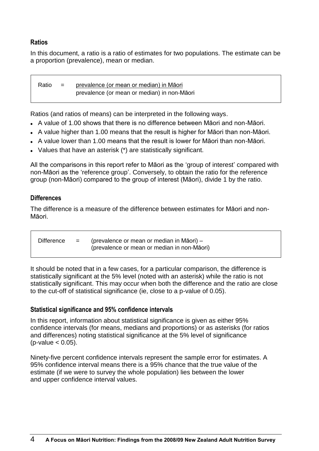#### **Ratios**

In this document, a ratio is a ratio of estimates for two populations. The estimate can be a proportion (prevalence), mean or median.

Ratio = prevalence (or mean or median) in Māori prevalence (or mean or median) in non-Māori

Ratios (and ratios of means) can be interpreted in the following ways.

- A value of 1.00 shows that there is no difference between Māori and non-Māori.
- A value higher than 1.00 means that the result is higher for Māori than non-Māori.
- A value lower than 1.00 means that the result is lower for Māori than non-Māori.
- Values that have an asterisk (\*) are statistically significant.

All the comparisons in this report refer to Māori as the 'group of interest' compared with non-Māori as the 'reference group'. Conversely, to obtain the ratio for the reference group (non-Māori) compared to the group of interest (Māori), divide 1 by the ratio.

#### **Differences**

The difference is a measure of the difference between estimates for Māori and non-Māori.

|  |  | Difference $=$ (prevalence or mean or median in Māori) –<br>(prevalence or mean or median in non-Māori) |
|--|--|---------------------------------------------------------------------------------------------------------|
|--|--|---------------------------------------------------------------------------------------------------------|

It should be noted that in a few cases, for a particular comparison, the difference is statistically significant at the 5% level (noted with an asterisk) while the ratio is not statistically significant. This may occur when both the difference and the ratio are close to the cut-off of statistical significance (ie, close to a p-value of 0.05).

#### **Statistical significance and 95% confidence intervals**

In this report, information about statistical significance is given as either 95% confidence intervals (for means, medians and proportions) or as asterisks (for ratios and differences) noting statistical significance at the 5% level of significance  $(p$ -value  $< 0.05$ ).

Ninety-five percent confidence intervals represent the sample error for estimates. A 95% confidence interval means there is a 95% chance that the true value of the estimate (if we were to survey the whole population) lies between the lower and upper confidence interval values.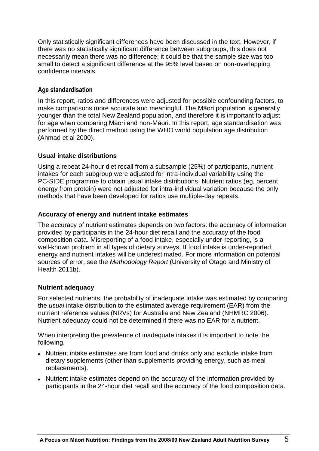Only statistically significant differences have been discussed in the text. However, if there was no statistically significant difference between subgroups, this does not necessarily mean there was no difference; it could be that the sample size was too small to detect a significant difference at the 95% level based on non-overlapping confidence intervals.

#### **Age standardisation**

In this report, ratios and differences were adjusted for possible confounding factors, to make comparisons more accurate and meaningful. The Māori population is generally younger than the total New Zealand population, and therefore it is important to adjust for age when comparing Māori and non-Māori. In this report, age standardisation was performed by the direct method using the WHO world population age distribution (Ahmad et al 2000).

#### **Usual intake distributions**

Using a repeat 24-hour diet recall from a subsample (25%) of participants, nutrient intakes for each subgroup were adjusted for intra-individual variability using the PC-SIDE programme to obtain usual intake distributions. Nutrient ratios (eg, percent energy from protein) were not adjusted for intra-individual variation because the only methods that have been developed for ratios use multiple-day repeats.

#### **Accuracy of energy and nutrient intake estimates**

The accuracy of nutrient estimates depends on two factors: the accuracy of information provided by participants in the 24-hour diet recall and the accuracy of the food composition data. Misreporting of a food intake, especially under-reporting, is a well-known problem in all types of dietary surveys. If food intake is under-reported, energy and nutrient intakes will be underestimated. For more information on potential sources of error, see the *Methodology Report* (University of Otago and Ministry of Health 2011b).

#### **Nutrient adequacy**

For selected nutrients, the probability of inadequate intake was estimated by comparing the *usual* intake distribution to the estimated average requirement (EAR) from the nutrient reference values (NRVs) for Australia and New Zealand (NHMRC 2006). Nutrient adequacy could not be determined if there was no EAR for a nutrient.

When interpreting the prevalence of inadequate intakes it is important to note the following.

- Nutrient intake estimates are from food and drinks only and exclude intake from dietary supplements (other than supplements providing energy, such as meal replacements).
- Nutrient intake estimates depend on the accuracy of the information provided by participants in the 24-hour diet recall and the accuracy of the food composition data.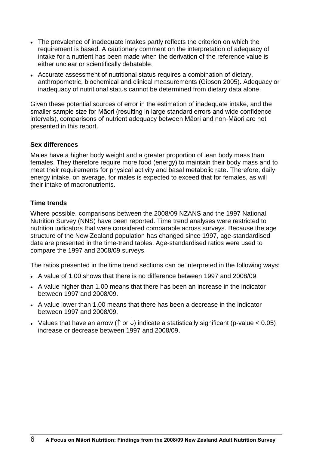- The prevalence of inadequate intakes partly reflects the criterion on which the requirement is based. A cautionary comment on the interpretation of adequacy of intake for a nutrient has been made when the derivation of the reference value is either unclear or scientifically debatable.
- Accurate assessment of nutritional status requires a combination of dietary, anthropometric, biochemical and clinical measurements (Gibson 2005). Adequacy or inadequacy of nutritional status cannot be determined from dietary data alone.

Given these potential sources of error in the estimation of inadequate intake, and the smaller sample size for Māori (resulting in large standard errors and wide confidence intervals), comparisons of nutrient adequacy between Māori and non-Māori are not presented in this report.

#### **Sex differences**

Males have a higher body weight and a greater proportion of lean body mass than females. They therefore require more food (energy) to maintain their body mass and to meet their requirements for physical activity and basal metabolic rate. Therefore, daily energy intake, on average, for males is expected to exceed that for females, as will their intake of macronutrients.

#### **Time trends**

Where possible, comparisons between the 2008/09 NZANS and the 1997 National Nutrition Survey (NNS) have been reported. Time trend analyses were restricted to nutrition indicators that were considered comparable across surveys. Because the age structure of the New Zealand population has changed since 1997, age-standardised data are presented in the time-trend tables. Age-standardised ratios were used to compare the 1997 and 2008/09 surveys.

The ratios presented in the time trend sections can be interpreted in the following ways:

- A value of 1.00 shows that there is no difference between 1997 and 2008/09.
- A value higher than 1.00 means that there has been an increase in the indicator between 1997 and 2008/09.
- A value lower than 1.00 means that there has been a decrease in the indicator between 1997 and 2008/09.
- Values that have an arrow ( $\uparrow$  or  $\downarrow$ ) indicate a statistically significant (p-value < 0.05) increase or decrease between 1997 and 2008/09.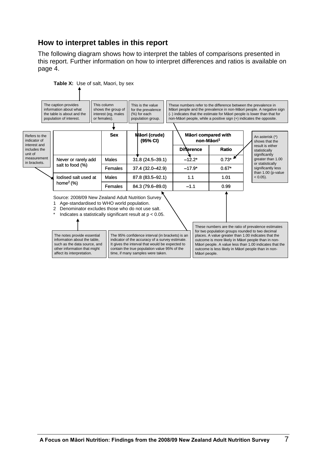# **How to interpret tables in this report**

The following diagram shows how to interpret the tables of comparisons presented in this report. Further information on how to interpret differences and ratios is available on page 4.

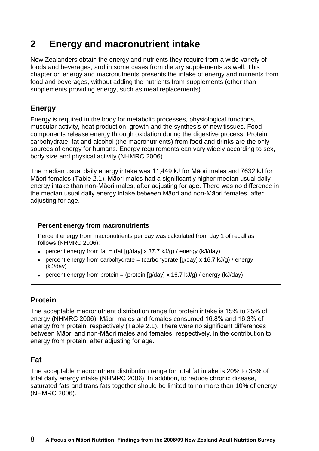# **2 Energy and macronutrient intake**

New Zealanders obtain the energy and nutrients they require from a wide variety of foods and beverages, and in some cases from dietary supplements as well. This chapter on energy and macronutrients presents the intake of energy and nutrients from food and beverages, without adding the nutrients from supplements (other than supplements providing energy, such as meal replacements).

# **Energy**

Energy is required in the body for metabolic processes, physiological functions, muscular activity, heat production, growth and the synthesis of new tissues. Food components release energy through oxidation during the digestive process. Protein, carbohydrate, fat and alcohol (the macronutrients) from food and drinks are the only sources of energy for humans. Energy requirements can vary widely according to sex, body size and physical activity (NHMRC 2006).

The median usual daily energy intake was 11,449 kJ for Māori males and 7632 kJ for Māori females (Table 2.1). Māori males had a significantly higher median usual daily energy intake than non-Māori males, after adjusting for age. There was no difference in the median usual daily energy intake between Māori and non-Māori females, after adjusting for age.

#### **Percent energy from macronutrients**

Percent energy from macronutrients per day was calculated from day 1 of recall as follows (NHMRC 2006):

- percent energy from fat = (fat  $\left[\frac{g}{day}\right] \times 37.7$  kJ/g) / energy (kJ/day)
- percent energy from carbohydrate = (carbohydrate  $[g/day] \times 16.7$  kJ/g) / energy (kJ/day)
- **•** percent energy from protein = (protein  $[g/day] \times 16.7 \text{ kJ/g}$ ) / energy (kJ/day).

# **Protein**

The acceptable macronutrient distribution range for protein intake is 15% to 25% of energy (NHMRC 2006). Māori males and females consumed 16.8% and 16.3% of energy from protein, respectively (Table 2.1). There were no significant differences between Māori and non-Māori males and females, respectively, in the contribution to energy from protein, after adjusting for age.

# **Fat**

The acceptable macronutrient distribution range for total fat intake is 20% to 35% of total daily energy intake (NHMRC 2006). In addition, to reduce chronic disease, saturated fats and trans fats together should be limited to no more than 10% of energy (NHMRC 2006).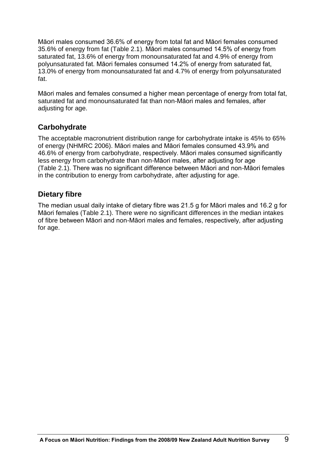Māori males consumed 36.6% of energy from total fat and Māori females consumed 35.6% of energy from fat (Table 2.1). Māori males consumed 14.5% of energy from saturated fat, 13.6% of energy from monounsaturated fat and 4.9% of energy from polyunsaturated fat. Māori females consumed 14.2% of energy from saturated fat, 13.0% of energy from monounsaturated fat and 4.7% of energy from polyunsaturated fat.

Māori males and females consumed a higher mean percentage of energy from total fat, saturated fat and monounsaturated fat than non-Māori males and females, after adjusting for age.

# **Carbohydrate**

The acceptable macronutrient distribution range for carbohydrate intake is 45% to 65% of energy (NHMRC 2006). Māori males and Māori females consumed 43.9% and 46.6% of energy from carbohydrate, respectively. Māori males consumed significantly less energy from carbohydrate than non-Māori males, after adjusting for age (Table 2.1). There was no significant difference between Māori and non-Māori females in the contribution to energy from carbohydrate, after adjusting for age.

# **Dietary fibre**

The median usual daily intake of dietary fibre was 21.5 g for Māori males and 16.2 g for Māori females (Table 2.1). There were no significant differences in the median intakes of fibre between Māori and non-Māori males and females, respectively, after adjusting for age.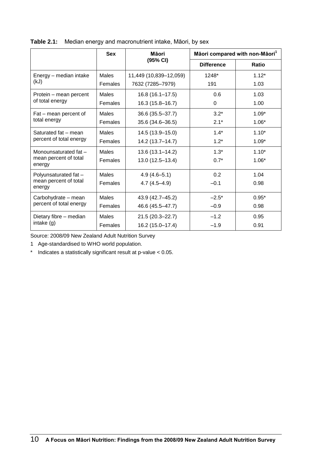|                                 | <b>Sex</b>   | Māori                  |                   | Māori compared with non-Māori <sup>1</sup> |  |
|---------------------------------|--------------|------------------------|-------------------|--------------------------------------------|--|
|                                 |              | (95% CI)               | <b>Difference</b> | Ratio                                      |  |
| Energy - median intake          | <b>Males</b> | 11,449 (10,839-12,059) | 1248*             | $1.12*$                                    |  |
| (kJ)                            | Females      | 7632 (7285-7979)       | 191               | 1.03                                       |  |
| Protein – mean percent          | <b>Males</b> | $16.8(16.1 - 17.5)$    | 0.6               | 1.03                                       |  |
| of total energy                 | Females      | 16.3 (15.8-16.7)       | 0                 | 1.00                                       |  |
| Fat - mean percent of           | <b>Males</b> | 36.6 (35.5-37.7)       | $3.2*$            | $1.09*$                                    |  |
| total energy                    | Females      | 35.6 (34.6-36.5)       | $2.1*$            | $1.06*$                                    |  |
| Saturated fat - mean            | <b>Males</b> | 14.5 (13.9-15.0)       | $1.4*$            | $1.10*$                                    |  |
| percent of total energy         | Females      | 14.2 (13.7-14.7)       | $1.2*$            | $1.09*$                                    |  |
| Monounsaturated fat -           | Males        | $13.6(13.1 - 14.2)$    | $1.3*$            | $1.10*$                                    |  |
| mean percent of total<br>energy | Females      | 13.0 (12.5-13.4)       | $0.7*$            | $1.06*$                                    |  |
| Polyunsaturated fat -           | Males        | $4.9(4.6 - 5.1)$       | 0.2               | 1.04                                       |  |
| mean percent of total<br>energy | Females      | $4.7(4.5 - 4.9)$       | $-0.1$            | 0.98                                       |  |
| Carbohydrate - mean             | <b>Males</b> | 43.9 (42.7-45.2)       | $-2.5*$           | $0.95*$                                    |  |
| percent of total energy         | Females      | 46.6 (45.5-47.7)       | $-0.9$            | 0.98                                       |  |
| Dietary fibre - median          | Males        | 21.5 (20.3-22.7)       | $-1.2$            | 0.95                                       |  |
| intake $(g)$                    | Females      | 16.2 (15.0-17.4)       | $-1.9$            | 0.91                                       |  |

| Table 2.1: Median energy and macronutrient intake, Māori, by sex |  |
|------------------------------------------------------------------|--|
|                                                                  |  |

Source: 2008/09 New Zealand Adult Nutrition Survey

1 Age-standardised to WHO world population.

\* Indicates a statistically significant result at p-value < 0.05.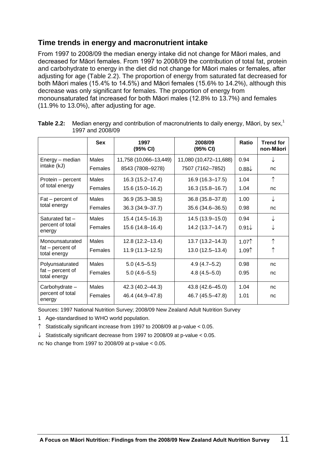# **Time trends in energy and macronutrient intake**

From 1997 to 2008/09 the median energy intake did not change for Māori males, and decreased for Māori females. From 1997 to 2008/09 the contribution of total fat, protein and carbohydrate to energy in the diet did not change for Māori males or females, after adjusting for age (Table 2.2). The proportion of energy from saturated fat decreased for both Māori males (15.4% to 14.5%) and Māori females (15.6% to 14.2%), although this decrease was only significant for females. The proportion of energy from monounsaturated fat increased for both Māori males (12.8% to 13.7%) and females (11.9% to 13.0%), after adjusting for age.

|                                  | <b>Sex</b>     | 1997<br>(95% CI)       | 2008/09<br>(95% CI)    | Ratio             | <b>Trend for</b><br>non-Māori |
|----------------------------------|----------------|------------------------|------------------------|-------------------|-------------------------------|
| Energy – median                  | Males          | 11,758 (10,066-13,449) | 11,080 (10,472-11,688) | 0.94              |                               |
| intake (kJ)                      | Females        | 8543 (7808-9278)       | 7507 (7162-7852)       | $0.88\sqrt{ }$    | nc                            |
| Protein – percent                | <b>Males</b>   | 16.3 (15.2-17.4)       | 16.9 (16.3-17.5)       | 1.04              | $\uparrow$                    |
| of total energy                  | Females        | 15.6 (15.0-16.2)       | 16.3 (15.8-16.7)       | 1.04              | nc                            |
| Fat – percent of                 | Males          | 36.9 (35.3-38.5)       | 36.8 (35.8-37.8)       | 1.00              | ↓                             |
| total energy                     | Females        | 36.3 (34.9-37.7)       | 35.6 (34.6-36.5)       | 0.98              | nc                            |
| Saturated fat -                  | Males          | 15.4 (14.5-16.3)       | 14.5 (13.9-15.0)       | 0.94              |                               |
| percent of total<br>energy       | Females        | 15.6 (14.8-16.4)       | 14.2 (13.7–14.7)       | $0.91\sqrt{ }$    |                               |
| Monounsaturated                  | Males          | 12.8 (12.2-13.4)       | 13.7 (13.2-14.3)       | 1.07 <sup>†</sup> | $\uparrow$                    |
| fat – percent of<br>total energy | Females        | 11.9 (11.3-12.5)       | 13.0 (12.5-13.4)       | 1.09 <sup>†</sup> | ↑                             |
| Polyunsaturated                  | Males          | $5.0(4.5 - 5.5)$       | $4.9(4.7 - 5.2)$       | 0.98              | nc                            |
| fat – percent of<br>total energy | Females        | $5.0(4.6 - 5.5)$       | $4.8(4.5 - 5.0)$       | 0.95              | nc                            |
| Carbohydrate -                   | Males          | 42.3 (40.2-44.3)       | 43.8 (42.6-45.0)       | 1.04              | nc                            |
| percent of total<br>energy       | <b>Females</b> | 46.4 (44.9-47.8)       | 46.7 (45.5-47.8)       | 1.01              | nc                            |

**Table 2.2:** Median energy and contribution of macronutrients to daily energy, Māori, by sex,<sup>1</sup> 1997 and 2008/09

Sources: 1997 National Nutrition Survey; 2008/09 New Zealand Adult Nutrition Survey

1 Age-standardised to WHO world population.

 $\uparrow$  Statistically significant increase from 1997 to 2008/09 at p-value < 0.05.

 $\downarrow$  Statistically significant decrease from 1997 to 2008/09 at p-value < 0.05.

nc No change from 1997 to 2008/09 at p-value < 0.05.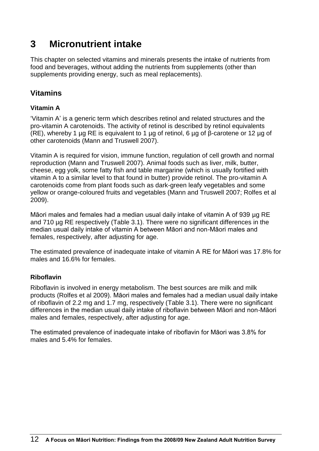# **3 Micronutrient intake**

This chapter on selected vitamins and minerals presents the intake of nutrients from food and beverages, without adding the nutrients from supplements (other than supplements providing energy, such as meal replacements).

# **Vitamins**

### **Vitamin A**

'Vitamin A' is a generic term which describes retinol and related structures and the pro-vitamin A carotenoids. The activity of retinol is described by retinol equivalents (RE), whereby 1 µg RE is equivalent to 1 µg of retinol, 6 µg of β-carotene or 12 µg of other carotenoids (Mann and Truswell 2007).

Vitamin A is required for vision, immune function, regulation of cell growth and normal reproduction (Mann and Truswell 2007). Animal foods such as liver, milk, butter, cheese, egg yolk, some fatty fish and table margarine (which is usually fortified with vitamin A to a similar level to that found in butter) provide retinol. The pro-vitamin A carotenoids come from plant foods such as dark-green leafy vegetables and some yellow or orange-coloured fruits and vegetables (Mann and Truswell 2007; Rolfes et al 2009).

Māori males and females had a median usual daily intake of vitamin A of 939 µg RE and 710 µg RE respectively (Table 3.1). There were no significant differences in the median usual daily intake of vitamin A between Māori and non-Māori males and females, respectively, after adjusting for age.

The estimated prevalence of inadequate intake of vitamin A RE for Māori was 17.8% for males and 16.6% for females.

#### **Riboflavin**

Riboflavin is involved in energy metabolism. The best sources are milk and milk products (Rolfes et al 2009). Māori males and females had a median usual daily intake of riboflavin of 2.2 mg and 1.7 mg, respectively (Table 3.1). There were no significant differences in the median usual daily intake of riboflavin between Māori and non-Māori males and females, respectively, after adjusting for age.

The estimated prevalence of inadequate intake of riboflavin for Māori was 3.8% for males and 5.4% for females.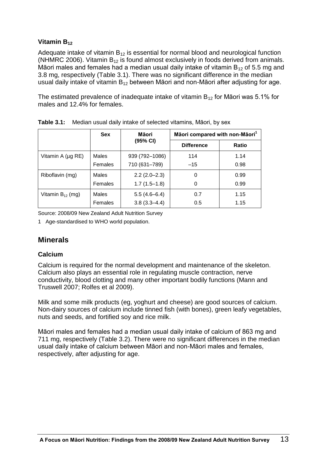#### **Vitamin B<sup>12</sup>**

Adequate intake of vitamin  $B_{12}$  is essential for normal blood and neurological function (NHMRC 2006). Vitamin  $B_{12}$  is found almost exclusively in foods derived from animals. Māori males and females had a median usual daily intake of vitamin  $B_{12}$  of 5.5 mg and 3.8 mg, respectively (Table 3.1). There was no significant difference in the median usual daily intake of vitamin  $B_{12}$  between Māori and non-Māori after adjusting for age.

The estimated prevalence of inadequate intake of vitamin  $B_{12}$  for Māori was 5.1% for males and 12.4% for females.

|                       | <b>Sex</b> | Māori            | Māori compared with non-Māori <sup>1</sup> |              |
|-----------------------|------------|------------------|--------------------------------------------|--------------|
|                       |            | (95% CI)         | <b>Difference</b>                          | <b>Ratio</b> |
| Vitamin A (µg RE)     | Males      | 939 (792-1086)   | 114                                        | 1.14         |
|                       | Females    | 710 (631-789)    | $-15$                                      | 0.98         |
| Riboflavin (mg)       | Males      | $2.2(2.0-2.3)$   | 0                                          | 0.99         |
|                       | Females    | $1.7(1.5-1.8)$   | 0                                          | 0.99         |
| Vitamin $B_{12}$ (mg) | Males      | $5.5(4.6-6.4)$   | 0.7                                        | 1.15         |
|                       | Females    | $3.8(3.3 - 4.4)$ | 0.5                                        | 1.15         |

**Table 3.1:** Median usual daily intake of selected vitamins, Māori, by sex

Source: 2008/09 New Zealand Adult Nutrition Survey

1 Age-standardised to WHO world population.

# **Minerals**

#### **Calcium**

Calcium is required for the normal development and maintenance of the skeleton. Calcium also plays an essential role in regulating muscle contraction, nerve conductivity, blood clotting and many other important bodily functions (Mann and Truswell 2007; Rolfes et al 2009).

Milk and some milk products (eg, yoghurt and cheese) are good sources of calcium. Non-dairy sources of calcium include tinned fish (with bones), green leafy vegetables, nuts and seeds, and fortified soy and rice milk.

Māori males and females had a median usual daily intake of calcium of 863 mg and 711 mg, respectively (Table 3.2). There were no significant differences in the median usual daily intake of calcium between Māori and non-Māori males and females, respectively, after adjusting for age.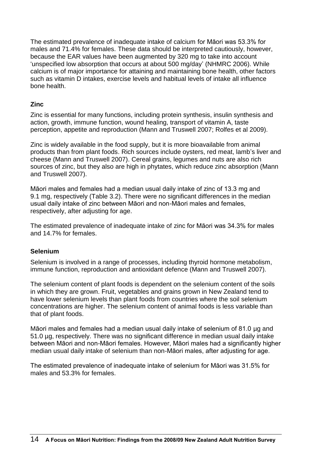The estimated prevalence of inadequate intake of calcium for Māori was 53.3% for males and 71.4% for females. These data should be interpreted cautiously, however, because the EAR values have been augmented by 320 mg to take into account 'unspecified low absorption that occurs at about 500 mg/day' (NHMRC 2006). While calcium is of major importance for attaining and maintaining bone health, other factors such as vitamin D intakes, exercise levels and habitual levels of intake all influence bone health.

#### **Zinc**

Zinc is essential for many functions, including protein synthesis, insulin synthesis and action, growth, immune function, wound healing, transport of vitamin A, taste perception, appetite and reproduction (Mann and Truswell 2007; Rolfes et al 2009).

Zinc is widely available in the food supply, but it is more bioavailable from animal products than from plant foods. Rich sources include oysters, red meat, lamb's liver and cheese (Mann and Truswell 2007). Cereal grains, legumes and nuts are also rich sources of zinc, but they also are high in phytates, which reduce zinc absorption (Mann and Truswell 2007).

Māori males and females had a median usual daily intake of zinc of 13.3 mg and 9.1 mg, respectively (Table 3.2). There were no significant differences in the median usual daily intake of zinc between Māori and non-Māori males and females, respectively, after adjusting for age.

The estimated prevalence of inadequate intake of zinc for Māori was 34.3% for males and 14.7% for females.

#### **Selenium**

Selenium is involved in a range of processes, including thyroid hormone metabolism, immune function, reproduction and antioxidant defence (Mann and Truswell 2007).

The selenium content of plant foods is dependent on the selenium content of the soils in which they are grown. Fruit, vegetables and grains grown in New Zealand tend to have lower selenium levels than plant foods from countries where the soil selenium concentrations are higher. The selenium content of animal foods is less variable than that of plant foods.

Māori males and females had a median usual daily intake of selenium of 81.0 µg and 51.0 µg, respectively. There was no significant difference in median usual daily intake between Māori and non-Māori females. However, Māori males had a significantly higher median usual daily intake of selenium than non-Māori males, after adjusting for age.

The estimated prevalence of inadequate intake of selenium for Māori was 31.5% for males and 53.3% for females.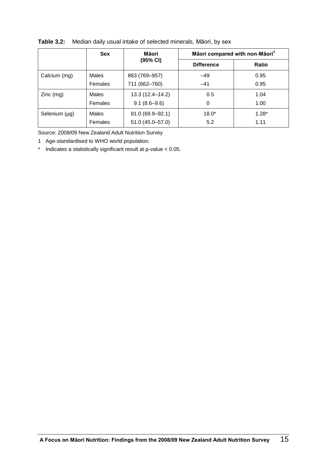|               | <b>Sex</b>     | Māori compared with non-Māori <sup>1</sup><br>Māori |                   |         |
|---------------|----------------|-----------------------------------------------------|-------------------|---------|
|               |                | (95% CI)                                            | <b>Difference</b> | Ratio   |
| Calcium (mg)  | Males          | 863 (769-957)                                       | $-49$             | 0.95    |
|               | Females        | 711 (662-760)                                       | $-41$             | 0.95    |
| $Zinc$ (mg)   | Males          | 13.3 (12.4-14.2)                                    | 0.5               | 1.04    |
|               | <b>Females</b> | $9.1(8.6 - 9.6)$                                    | 0                 | 1.00    |
| Selenium (µg) | Males          | 81.0 (69.9-92.1)                                    | $18.0*$           | $1.28*$ |
|               | Females        | 51.0 (45.0-57.0)                                    | 5.2               | 1.11    |

#### **Table 3.2:** Median daily usual intake of selected minerals, Māori, by sex

Source: 2008/09 New Zealand Adult Nutrition Survey

- 1 Age-standardised to WHO world population.
- \* Indicates a statistically significant result at p-value < 0.05.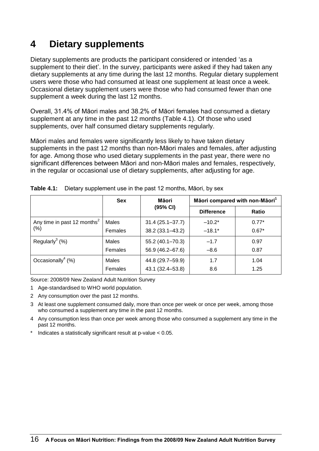# **4 Dietary supplements**

Dietary supplements are products the participant considered or intended 'as a supplement to their diet'. In the survey, participants were asked if they had taken any dietary supplements at any time during the last 12 months. Regular dietary supplement users were those who had consumed at least one supplement at least once a week. Occasional dietary supplement users were those who had consumed fewer than one supplement a week during the last 12 months.

Overall, 31.4% of Māori males and 38.2% of Māori females had consumed a dietary supplement at any time in the past 12 months (Table 4.1). Of those who used supplements, over half consumed dietary supplements regularly.

Māori males and females were significantly less likely to have taken dietary supplements in the past 12 months than non-Māori males and females, after adjusting for age. Among those who used dietary supplements in the past year, there were no significant differences between Māori and non-Māori males and females, respectively, in the regular or occasional use of dietary supplements, after adjusting for age.

|                                         | <b>Sex</b> | Māori               | Māori compared with non-Māori <sup>1</sup> |              |
|-----------------------------------------|------------|---------------------|--------------------------------------------|--------------|
|                                         |            | (95% CI)            | <b>Difference</b>                          | <b>Ratio</b> |
| Any time in past 12 months <sup>2</sup> | Males      | $31.4(25.1 - 37.7)$ | $-10.2*$                                   | $0.77*$      |
| $(\% )$                                 | Females    | 38.2 (33.1-43.2)    | $-18.1*$                                   | $0.67*$      |
| Regularly <sup>3</sup> $(%)$            | Males      | 55.2 (40.1-70.3)    | $-1.7$                                     | 0.97         |
|                                         | Females    | 56.9 (46.2-67.6)    | $-8.6$                                     | 0.87         |
| Occasionally <sup>4</sup> (%)           | Males      | 44.8 (29.7-59.9)    | 1.7                                        | 1.04         |
|                                         | Females    | 43.1 (32.4-53.8)    | 8.6                                        | 1.25         |

| <b>Table 4.1:</b> Dietary supplement use in the past 12 months, Māori, by sex |  |  |
|-------------------------------------------------------------------------------|--|--|

Source: 2008/09 New Zealand Adult Nutrition Survey

- 1 Age-standardised to WHO world population.
- 2 Any consumption over the past 12 months.
- 3 At least one supplement consumed daily, more than once per week or once per week, among those who consumed a supplement any time in the past 12 months.
- 4 Any consumption less than once per week among those who consumed a supplement any time in the past 12 months.
- Indicates a statistically significant result at  $p$ -value  $< 0.05$ .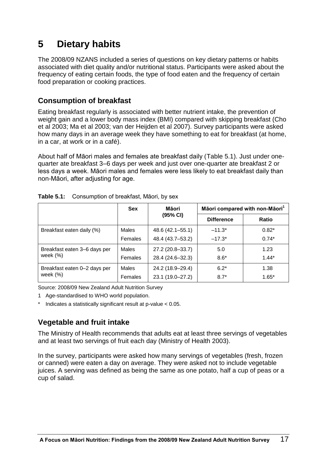# **5 Dietary habits**

The 2008/09 NZANS included a series of questions on key dietary patterns or habits associated with diet quality and/or nutritional status. Participants were asked about the frequency of eating certain foods, the type of food eaten and the frequency of certain food preparation or cooking practices.

# **Consumption of breakfast**

Eating breakfast regularly is associated with better nutrient intake, the prevention of weight gain and a lower body mass index (BMI) compared with skipping breakfast (Cho et al 2003; Ma et al 2003; van der Heijden et al 2007). Survey participants were asked how many days in an average week they have something to eat for breakfast (at home, in a car, at work or in a café).

About half of Māori males and females ate breakfast daily (Table 5.1). Just under onequarter ate breakfast 3–6 days per week and just over one-quarter ate breakfast 2 or less days a week. Māori males and females were less likely to eat breakfast daily than non-Māori, after adjusting for age.

|                                            | <b>Sex</b>     | Māori            |                   | Māori compared with non-Māori <sup>1</sup> |
|--------------------------------------------|----------------|------------------|-------------------|--------------------------------------------|
|                                            |                | (95% CI)         | <b>Difference</b> | <b>Ratio</b>                               |
| Breakfast eaten daily (%)                  | <b>Males</b>   | 48.6 (42.1–55.1) | $-11.3*$          | $0.82*$                                    |
|                                            | <b>Females</b> | 48.4 (43.7–53.2) | $-17.3*$          | $0.74*$                                    |
| Breakfast eaten 3-6 days per               | <b>Males</b>   | 27.2 (20.8-33.7) | 5.0               | 1.23                                       |
| week $(%)$                                 | <b>Females</b> | 28.4 (24.6-32.3) | $8.6*$            | $1.44*$                                    |
| Breakfast eaten 0-2 days per<br>week $(%)$ | <b>Males</b>   | 24.2 (18.9–29.4) | $6.2*$            | 1.38                                       |
|                                            | Females        | 23.1 (19.0-27.2) | $8.7*$            | $1.65*$                                    |

| Table 5.1: Consumption of breakfast, Māori, by sex |  |  |
|----------------------------------------------------|--|--|
|                                                    |  |  |

Source: 2008/09 New Zealand Adult Nutrition Survey

- 1 Age-standardised to WHO world population.
- Indicates a statistically significant result at  $p$ -value  $< 0.05$ .

# **Vegetable and fruit intake**

The Ministry of Health recommends that adults eat at least three servings of vegetables and at least two servings of fruit each day (Ministry of Health 2003).

In the survey, participants were asked how many servings of vegetables (fresh, frozen or canned) were eaten a day on average. They were asked not to include vegetable juices. A serving was defined as being the same as one potato, half a cup of peas or a cup of salad.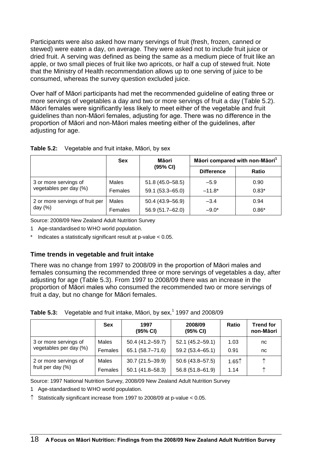Participants were also asked how many servings of fruit (fresh, frozen, canned or stewed) were eaten a day, on average. They were asked not to include fruit juice or dried fruit. A serving was defined as being the same as a medium piece of fruit like an apple, or two small pieces of fruit like two apricots, or half a cup of stewed fruit. Note that the Ministry of Health recommendation allows up to one serving of juice to be consumed, whereas the survey question excluded juice.

Over half of Māori participants had met the recommended guideline of eating three or more servings of vegetables a day and two or more servings of fruit a day (Table 5.2). Māori females were significantly less likely to meet either of the vegetable and fruit guidelines than non-Māori females, adjusting for age. There was no difference in the proportion of Māori and non-Māori males meeting either of the guidelines, after adjusting for age.

|                                 | <b>Sex</b> | Māori<br>(95% CI)   | Māori compared with non-Māori <sup>1</sup> |         |
|---------------------------------|------------|---------------------|--------------------------------------------|---------|
|                                 |            |                     | <b>Difference</b>                          | Ratio   |
| 3 or more servings of           | Males      | $51.8(45.0 - 58.5)$ | $-5.9$                                     | 0.90    |
| vegetables per day (%)          | Females    | 59.1 (53.3-65.0)    | $-11.8*$                                   | $0.83*$ |
| 2 or more servings of fruit per | Males      | 50.4 (43.9-56.9)    | $-3.4$                                     | 0.94    |
| day $(%)$                       | Females    | 56.9 (51.7-62.0)    | $-9.0*$                                    | $0.86*$ |

| <b>Table 5.2:</b> Vegetable and fruit intake, Māori, by sex |  |  |  |  |
|-------------------------------------------------------------|--|--|--|--|
|-------------------------------------------------------------|--|--|--|--|

Source: 2008/09 New Zealand Adult Nutrition Survey

1 Age-standardised to WHO world population.

\* Indicates a statistically significant result at p-value < 0.05.

#### **Time trends in vegetable and fruit intake**

There was no change from 1997 to 2008/09 in the proportion of Māori males and females consuming the recommended three or more servings of vegetables a day, after adjusting for age (Table 5.3). From 1997 to 2008/09 there was an increase in the proportion of Māori males who consumed the recommended two or more servings of fruit a day, but no change for Māori females.

|  | <b>Table 5.3:</b> Vegetable and fruit intake, Māori, by sex, $1$ 1997 and 2008/09 |
|--|-----------------------------------------------------------------------------------|
|--|-----------------------------------------------------------------------------------|

|                        | <b>Sex</b> | 1997<br>(95% CI)    | 2008/09<br>(95% CI) | Ratio             | <b>Trend for</b><br>non-Māori |
|------------------------|------------|---------------------|---------------------|-------------------|-------------------------------|
| 3 or more servings of  | Males      | 50.4 (41.2-59.7)    | $52.1(45.2 - 59.1)$ | 1.03              | nc                            |
| vegetables per day (%) | Females    | 65.1 (58.7-71.6)    | 59.2 (53.4-65.1)    | 0.91              | nc                            |
| 2 or more servings of  | Males      | $30.7(21.5 - 39.9)$ | $50.6(43.8 - 57.5)$ | 1.65 <sup>†</sup> | ᠰ                             |
| fruit per day (%)      | Females    | $50.1(41.8 - 58.3)$ | 56.8 (51.8-61.9)    | 1.14              | ↑                             |

Source: 1997 National Nutrition Survey, 2008/09 New Zealand Adult Nutrition Survey

1 Age-standardised to WHO world population.

 $\uparrow$  Statistically significant increase from 1997 to 2008/09 at p-value < 0.05.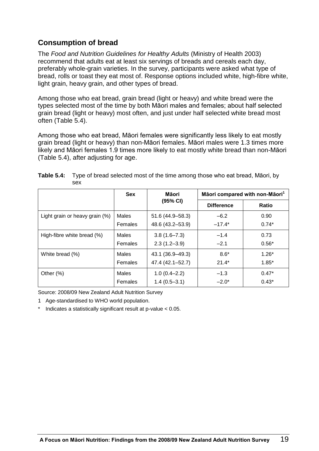# **Consumption of bread**

The *Food and Nutrition Guidelines for Healthy Adults* (Ministry of Health 2003) recommend that adults eat at least six servings of breads and cereals each day, preferably whole-grain varieties. In the survey, participants were asked what type of bread, rolls or toast they eat most of. Response options included white, high-fibre white, light grain, heavy grain, and other types of bread.

Among those who eat bread, grain bread (light or heavy) and white bread were the types selected most of the time by both Māori males and females; about half selected grain bread (light or heavy) most often, and just under half selected white bread most often (Table 5.4).

Among those who eat bread, Māori females were significantly less likely to eat mostly grain bread (light or heavy) than non-Māori females. Māori males were 1.3 times more likely and Māori females 1.9 times more likely to eat mostly white bread than non-Māori (Table 5.4), after adjusting for age.

|                                | <b>Sex</b> | Māori            | Māori compared with non-Māori <sup>1</sup> |              |
|--------------------------------|------------|------------------|--------------------------------------------|--------------|
|                                |            | (95% CI)         | <b>Difference</b>                          | <b>Ratio</b> |
| Light grain or heavy grain (%) | Males      | 51.6 (44.9–58.3) | $-6.2$                                     | 0.90         |
|                                | Females    | 48.6 (43.2-53.9) | $-17.4*$                                   | $0.74*$      |
| High-fibre white bread (%)     | Males      | $3.8(1.6 - 7.3)$ | $-1.4$                                     | 0.73         |
|                                | Females    | $2.3(1.2 - 3.9)$ | $-2.1$                                     | $0.56*$      |
| White bread (%)                | Males      | 43.1 (36.9-49.3) | $8.6*$                                     | $1.26*$      |
|                                | Females    | 47.4 (42.1-52.7) | $21.4*$                                    | $1.85*$      |
| Other $(\%)$                   | Males      | $1.0(0.4 - 2.2)$ | $-1.3$                                     | $0.47*$      |
|                                | Females    | $1.4(0.5-3.1)$   | $-2.0*$                                    | $0.43*$      |

| <b>Table 5.4:</b> Type of bread selected most of the time among those who eat bread, Māori, by |
|------------------------------------------------------------------------------------------------|
| sex                                                                                            |

Source: 2008/09 New Zealand Adult Nutrition Survey

1 Age-standardised to WHO world population.

Indicates a statistically significant result at  $p$ -value  $< 0.05$ .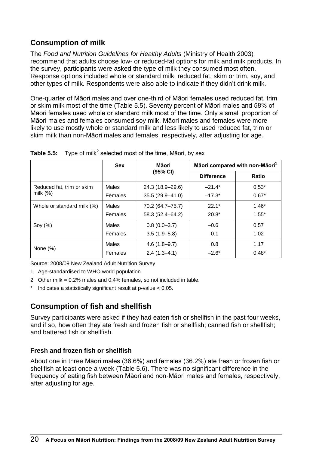# **Consumption of milk**

The *Food and Nutrition Guidelines for Healthy Adults* (Ministry of Health 2003) recommend that adults choose low- or reduced-fat options for milk and milk products. In the survey, participants were asked the type of milk they consumed most often. Response options included whole or standard milk, reduced fat, skim or trim, soy, and other types of milk. Respondents were also able to indicate if they didn't drink milk.

One-quarter of Māori males and over one-third of Māori females used reduced fat, trim or skim milk most of the time (Table 5.5). Seventy percent of Māori males and 58% of Māori females used whole or standard milk most of the time. Only a small proportion of Māori males and females consumed soy milk. Māori males and females were more likely to use mostly whole or standard milk and less likely to used reduced fat, trim or skim milk than non-Māori males and females, respectively, after adjusting for age.

|                            | <b>Sex</b> | Māori            | Māori compared with non-Māori <sup>1</sup> |              |
|----------------------------|------------|------------------|--------------------------------------------|--------------|
|                            |            | (95% CI)         | <b>Difference</b>                          | <b>Ratio</b> |
| Reduced fat, trim or skim  | Males      | 24.3 (18.9-29.6) | $-21.4*$                                   | $0.53*$      |
| milk $(%)$                 | Females    | 35.5 (29.9-41.0) | $-17.3*$                                   | $0.67*$      |
| Whole or standard milk (%) | Males      | 70.2 (64.7-75.7) | $22.1*$                                    | $1.46*$      |
|                            | Females    | 58.3 (52.4-64.2) | $20.8*$                                    | $1.55*$      |
| Soy $(\%)$                 | Males      | $0.8(0.0 - 3.7)$ | $-0.6$                                     | 0.57         |
|                            | Females    | $3.5(1.9 - 5.8)$ | 0.1                                        | 1.02         |
|                            | Males      | $4.6(1.8-9.7)$   | 0.8                                        | 1.17         |
| None $(\%)$                | Females    | $2.4(1.3 - 4.1)$ | $-2.6*$                                    | $0.48*$      |

**Table 5.5:** Type of milk<sup>2</sup> selected most of the time, Māori, by sex

Source: 2008/09 New Zealand Adult Nutrition Survey

- 1 Age-standardised to WHO world population.
- 2 Other milk = 0.2% males and 0.4% females, so not included in table.
- Indicates a statistically significant result at  $p$ -value  $< 0.05$ .

# **Consumption of fish and shellfish**

Survey participants were asked if they had eaten fish or shellfish in the past four weeks, and if so, how often they ate fresh and frozen fish or shellfish; canned fish or shellfish; and battered fish or shellfish.

#### **Fresh and frozen fish or shellfish**

About one in three Māori males (36.6%) and females (36.2%) ate fresh or frozen fish or shellfish at least once a week (Table 5.6). There was no significant difference in the frequency of eating fish between Māori and non-Māori males and females, respectively, after adjusting for age.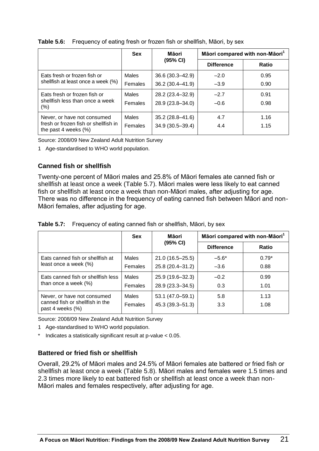|                                                              | <b>Sex</b> | Māori               | Māori compared with non-Māori <sup>1</sup> |       |
|--------------------------------------------------------------|------------|---------------------|--------------------------------------------|-------|
|                                                              |            | (95% CI)            | <b>Difference</b>                          | Ratio |
| Eats fresh or frozen fish or                                 | Males      | $36.6(30.3 - 42.9)$ | $-2.0$                                     | 0.95  |
| shellfish at least once a week (%)                           | Females    | 36.2 (30.4-41.9)    | $-3.9$                                     | 0.90  |
| Eats fresh or frozen fish or                                 | Males      | 28.2 (23.4-32.9)    | $-2.7$                                     | 0.91  |
| shellfish less than once a week<br>$(\% )$                   | Females    | 28.9 (23.8-34.0)    | $-0.6$                                     | 0.98  |
| Never, or have not consumed                                  | Males      | $35.2(28.8 - 41.6)$ | 4.7                                        | 1.16  |
| fresh or frozen fish or shellfish in<br>the past 4 weeks (%) | Females    | 34.9 (30.5-39.4)    | 4.4                                        | 1.15  |

#### **Table 5.6:** Frequency of eating fresh or frozen fish or shellfish, Māori, by sex

Source: 2008/09 New Zealand Adult Nutrition Survey

1 Age-standardised to WHO world population.

#### **Canned fish or shellfish**

Twenty-one percent of Māori males and 25.8% of Māori females ate canned fish or shellfish at least once a week (Table 5.7). Māori males were less likely to eat canned fish or shellfish at least once a week than non-Māori males, after adjusting for age. There was no difference in the frequency of eating canned fish between Māori and non-Māori females, after adjusting for age.

|  |  | <b>Table 5.7:</b> Frequency of eating canned fish or shellfish, Māori, by sex |
|--|--|-------------------------------------------------------------------------------|
|--|--|-------------------------------------------------------------------------------|

|                                                               | <b>Sex</b> | Māori               | Māori compared with non-Māori <sup>1</sup> |              |
|---------------------------------------------------------------|------------|---------------------|--------------------------------------------|--------------|
|                                                               |            | (95% CI)            | <b>Difference</b>                          | <b>Ratio</b> |
| Eats canned fish or shellfish at                              | Males      | $21.0(16.5 - 25.5)$ | $-5.6*$                                    | $0.79*$      |
| least once a week (%)                                         | Females    | 25.8 (20.4-31.2)    | $-3.6$                                     | 0.88         |
| Eats canned fish or shellfish less<br>than once a week $(\%)$ | Males      | 25.9 (19.6-32.3)    | $-0.2$                                     | 0.99         |
|                                                               | Females    | 28.9 (23.3-34.5)    | 0.3                                        | 1.01         |
| Never, or have not consumed                                   | Males      | 53.1 (47.0–59.1)    | 5.8                                        | 1.13         |
| canned fish or shellfish in the<br>past 4 weeks (%)           | Females    | $45.3(39.3 - 51.3)$ | 3.3                                        | 1.08         |

Source: 2008/09 New Zealand Adult Nutrition Survey

- 1 Age-standardised to WHO world population.
- Indicates a statistically significant result at  $p$ -value  $< 0.05$ .

#### **Battered or fried fish or shellfish**

Overall, 29.2% of Māori males and 24.5% of Māori females ate battered or fried fish or shellfish at least once a week (Table 5.8). Māori males and females were 1.5 times and 2.3 times more likely to eat battered fish or shellfish at least once a week than non-Māori males and females respectively, after adjusting for age.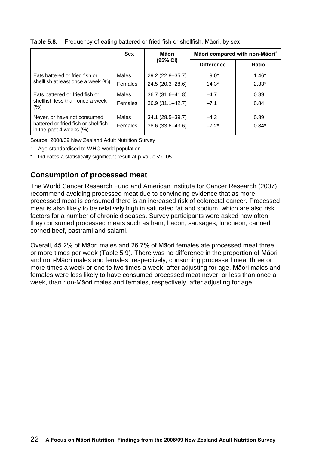|                                                                              | <b>Sex</b> | Māori               | Māori compared with non-Māori <sup>1</sup> |         |
|------------------------------------------------------------------------------|------------|---------------------|--------------------------------------------|---------|
|                                                                              |            | (95% CI)            | <b>Difference</b>                          | Ratio   |
| Eats battered or fried fish or                                               | Males      | 29.2 (22.8–35.7)    | $9.0*$                                     | $1.46*$ |
| shellfish at least once a week (%)                                           | Females    | 24.5 (20.3-28.6)    | $14.3*$                                    | $2.33*$ |
| Eats battered or fried fish or<br>shellfish less than once a week<br>$(\% )$ | Males      | $36.7(31.6 - 41.8)$ | $-4.7$                                     | 0.89    |
|                                                                              | Females    | $36.9(31.1 - 42.7)$ | $-7.1$                                     | 0.84    |
| Never, or have not consumed                                                  | Males      | 34.1 (28.5-39.7)    | $-4.3$                                     | 0.89    |
| battered or fried fish or shellfish<br>in the past 4 weeks $(\%)$            | Females    | 38.6 (33.6-43.6)    | $-7.2*$                                    | $0.84*$ |

**Table 5.8:** Frequency of eating battered or fried fish or shellfish, Māori, by sex

Source: 2008/09 New Zealand Adult Nutrition Survey

- 1 Age-standardised to WHO world population.
- Indicates a statistically significant result at  $p$ -value  $< 0.05$ .

# **Consumption of processed meat**

The World Cancer Research Fund and American Institute for Cancer Research (2007) recommend avoiding processed meat due to convincing evidence that as more processed meat is consumed there is an increased risk of colorectal cancer. Processed meat is also likely to be relatively high in saturated fat and sodium, which are also risk factors for a number of chronic diseases. Survey participants were asked how often they consumed processed meats such as ham, bacon, sausages, luncheon, canned corned beef, pastrami and salami.

Overall, 45.2% of Māori males and 26.7% of Māori females ate processed meat three or more times per week (Table 5.9). There was no difference in the proportion of Māori and non-Māori males and females, respectively, consuming processed meat three or more times a week or one to two times a week, after adjusting for age. Māori males and females were less likely to have consumed processed meat never, or less than once a week, than non-Māori males and females, respectively, after adjusting for age.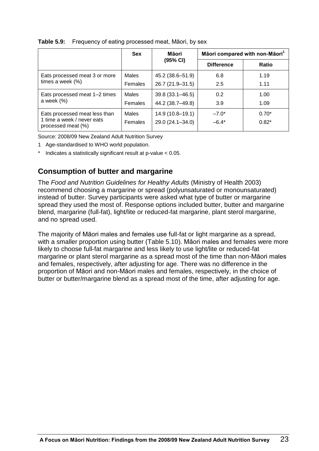|                                                                                   | <b>Sex</b> | Māori               | Māori compared with non-Māori <sup>1</sup> |              |  |
|-----------------------------------------------------------------------------------|------------|---------------------|--------------------------------------------|--------------|--|
|                                                                                   |            | (95% CI)            | <b>Difference</b>                          | <b>Ratio</b> |  |
| Eats processed meat 3 or more<br>times a week $(\%)$                              | Males      | 45.2 (38.6–51.9)    | 6.8                                        | 1.19         |  |
|                                                                                   | Females    | 26.7 (21.9-31.5)    | 2.5                                        | 1.11         |  |
| Eats processed meat 1-2 times<br>a week $(\%)$                                    | Males      | $39.8(33.1 - 46.5)$ | 0.2                                        | 1.00         |  |
|                                                                                   | Females    | 44.2 (38.7-49.8)    | 3.9                                        | 1.09         |  |
| Eats processed meat less than<br>1 time a week / never eats<br>processed meat (%) | Males      | $14.9(10.8-19.1)$   | $-7.0*$                                    | $0.70*$      |  |
|                                                                                   | Females    | 29.0 (24.1-34.0)    | $-6.4*$                                    | $0.82*$      |  |

#### **Table 5.9:** Frequency of eating processed meat, Māori, by sex

Source: 2008/09 New Zealand Adult Nutrition Survey

- 1 Age-standardised to WHO world population.
- Indicates a statistically significant result at  $p$ -value  $< 0.05$ .

# **Consumption of butter and margarine**

The *Food and Nutrition Guidelines for Healthy Adults* (Ministry of Health 2003) recommend choosing a margarine or spread (polyunsaturated or monounsaturated) instead of butter. Survey participants were asked what type of butter or margarine spread they used the most of. Response options included butter, butter and margarine blend, margarine (full-fat), light/lite or reduced-fat margarine, plant sterol margarine, and no spread used.

The majority of Māori males and females use full-fat or light margarine as a spread, with a smaller proportion using butter (Table 5.10). Māori males and females were more likely to choose full-fat margarine and less likely to use light/lite or reduced-fat margarine or plant sterol margarine as a spread most of the time than non-Māori males and females, respectively, after adjusting for age. There was no difference in the proportion of Māori and non-Māori males and females, respectively, in the choice of butter or butter/margarine blend as a spread most of the time, after adjusting for age.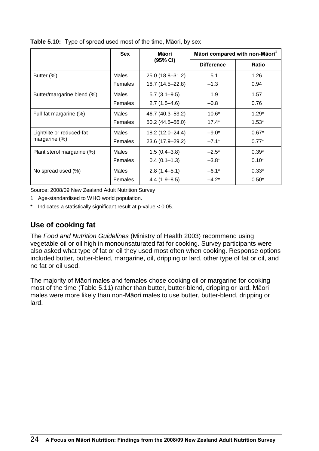|                            | <b>Sex</b>   | Māori               | Māori compared with non-Māori <sup>1</sup> |              |
|----------------------------|--------------|---------------------|--------------------------------------------|--------------|
|                            |              | (95% CI)            | <b>Difference</b>                          | <b>Ratio</b> |
| Butter (%)                 | <b>Males</b> | 25.0 (18.8-31.2)    | 5.1                                        | 1.26         |
|                            | Females      | 18.7 (14.5–22.8)    | $-1.3$                                     | 0.94         |
| Butter/margarine blend (%) | <b>Males</b> | $5.7(3.1 - 9.5)$    | 1.9                                        | 1.57         |
|                            | Females      | $2.7(1.5-4.6)$      | $-0.8$                                     | 0.76         |
| Full-fat margarine (%)     | Males        | 46.7 (40.3-53.2)    | $10.6*$                                    | $1.29*$      |
|                            | Females      | $50.2(44.5 - 56.0)$ | $17.4*$                                    | $1.53*$      |
| Light/lite or reduced-fat  | Males        | 18.2 (12.0-24.4)    | $-9.0*$                                    | $0.67*$      |
| margarine $(\%)$           | Females      | 23.6 (17.9-29.2)    | $-7.1*$                                    | $0.77*$      |
| Plant sterol margarine (%) | Males        | $1.5(0.4 - 3.8)$    | $-2.5^*$                                   | $0.39*$      |
|                            | Females      | $0.4(0.1-1.3)$      | $-3.8*$                                    | $0.10*$      |
| No spread used (%)         | <b>Males</b> | $2.8(1.4 - 5.1)$    | $-6.1*$                                    | $0.33*$      |
|                            | Females      | $4.4(1.9 - 8.5)$    | $-4.2*$                                    | $0.50*$      |

**Table 5.10:** Type of spread used most of the time, Māori, by sex

Source: 2008/09 New Zealand Adult Nutrition Survey

1 Age-standardised to WHO world population.

\* Indicates a statistically significant result at p-value < 0.05.

# **Use of cooking fat**

The *Food and Nutrition Guidelines* (Ministry of Health 2003) recommend using vegetable oil or oil high in monounsaturated fat for cooking. Survey participants were also asked what type of fat or oil they used most often when cooking. Response options included butter, butter-blend, margarine, oil, dripping or lard, other type of fat or oil, and no fat or oil used.

The majority of Māori males and females chose cooking oil or margarine for cooking most of the time (Table 5.11) rather than butter, butter-blend, dripping or lard. Māori males were more likely than non-Māori males to use butter, butter-blend, dripping or lard.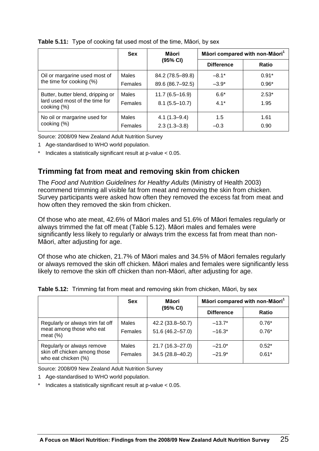|                                                                                    | <b>Sex</b>   | Māori            | Māori compared with non-Māori <sup>1</sup> |         |
|------------------------------------------------------------------------------------|--------------|------------------|--------------------------------------------|---------|
|                                                                                    |              | (95% CI)         | <b>Difference</b>                          | Ratio   |
| Oil or margarine used most of<br>the time for cooking (%)                          | Males        | 84.2 (78.5–89.8) | $-8.1*$                                    | $0.91*$ |
|                                                                                    | Females      | 89.6 (86.7-92.5) | $-3.9*$                                    | $0.96*$ |
| Butter, butter blend, dripping or<br>lard used most of the time for<br>cooking (%) | <b>Males</b> | $11.7(6.5-16.9)$ | $6.6*$                                     | $2.53*$ |
|                                                                                    | Females      | $8.1(5.5-10.7)$  | $4.1*$                                     | 1.95    |
| No oil or margarine used for                                                       | <b>Males</b> | $4.1(1.3 - 9.4)$ | 1.5                                        | 1.61    |
| cooking (%)                                                                        | Females      | $2.3(1.3 - 3.8)$ | $-0.3$                                     | 0.90    |

#### **Table 5.11:** Type of cooking fat used most of the time, Māori, by sex

Source: 2008/09 New Zealand Adult Nutrition Survey

- 1 Age-standardised to WHO world population.
- Indicates a statistically significant result at p-value  $< 0.05$ .

# **Trimming fat from meat and removing skin from chicken**

The *Food and Nutrition Guidelines for Healthy Adults* (Ministry of Health 2003) recommend trimming all visible fat from meat and removing the skin from chicken. Survey participants were asked how often they removed the excess fat from meat and how often they removed the skin from chicken.

Of those who ate meat, 42.6% of Māori males and 51.6% of Māori females regularly or always trimmed the fat off meat (Table 5.12). Māori males and females were significantly less likely to regularly or always trim the excess fat from meat than non-Māori, after adjusting for age.

Of those who ate chicken, 21.7% of Māori males and 34.5% of Māori females regularly or always removed the skin off chicken. Māori males and females were significantly less likely to remove the skin off chicken than non-Māori, after adjusting for age.

|                                                                                   | <b>Sex</b>              | Māori                                   | Māori compared with non-Māori <sup>1</sup> |                    |  |
|-----------------------------------------------------------------------------------|-------------------------|-----------------------------------------|--------------------------------------------|--------------------|--|
|                                                                                   |                         | (95% CI)                                | <b>Difference</b>                          | Ratio              |  |
| Regularly or always trim fat off<br>meat among those who eat<br>meat $(\%)$       | <b>Males</b><br>Females | 42.2 (33.8-50.7)<br>$51.6(46.2 - 57.0)$ | $-13.7*$<br>$-16.3*$                       | $0.76*$<br>$0.76*$ |  |
| Regularly or always remove<br>skin off chicken among those<br>who eat chicken (%) | <b>Males</b><br>Females | $21.7(16.3 - 27.0)$<br>34.5 (28.8-40.2) | $-21.0*$<br>$-21.9*$                       | $0.52*$<br>$0.61*$ |  |

|  |  |  | Table 5.12: Trimming fat from meat and removing skin from chicken, Māori, by sex |  |  |
|--|--|--|----------------------------------------------------------------------------------|--|--|
|--|--|--|----------------------------------------------------------------------------------|--|--|

Source: 2008/09 New Zealand Adult Nutrition Survey

- 1 Age-standardised to WHO world population.
- Indicates a statistically significant result at  $p$ -value  $< 0.05$ .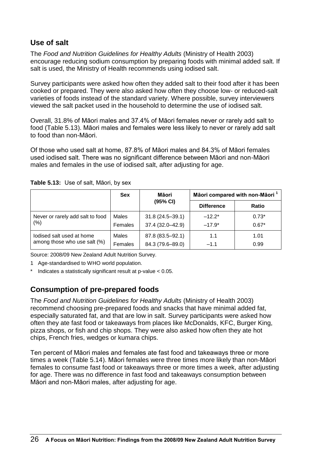### **Use of salt**

The *Food and Nutrition Guidelines for Healthy Adults* (Ministry of Health 2003) encourage reducing sodium consumption by preparing foods with minimal added salt. If salt is used, the Ministry of Health recommends using iodised salt.

Survey participants were asked how often they added salt to their food after it has been cooked or prepared. They were also asked how often they choose low- or reduced-salt varieties of foods instead of the standard variety. Where possible, survey interviewers viewed the salt packet used in the household to determine the use of iodised salt.

Overall, 31.8% of Māori males and 37.4% of Māori females never or rarely add salt to food (Table 5.13). Māori males and females were less likely to never or rarely add salt to food than non-Māori.

Of those who used salt at home, 87.8% of Māori males and 84.3% of Māori females used iodised salt. There was no significant difference between Māori and non-Māori males and females in the use of iodised salt, after adjusting for age.

|                                                           | <b>Sex</b> | Māori               | Māori compared with non-Māori <sup>1</sup> |              |
|-----------------------------------------------------------|------------|---------------------|--------------------------------------------|--------------|
|                                                           |            | (95% CI)            | <b>Difference</b>                          | <b>Ratio</b> |
| Never or rarely add salt to food<br>(%)                   | Males      | $31.8(24.5 - 39.1)$ | $-12.2*$                                   | $0.73*$      |
|                                                           | Females    | 37.4 (32.0-42.9)    | $-17.9*$                                   | $0.67*$      |
| lodised salt used at home<br>among those who use salt (%) | Males      | 87.8 (83.5-92.1)    | 1.1                                        | 1.01         |
|                                                           | Females    | 84.3 (79.6-89.0)    | $-1.1$                                     | 0.99         |

**Table 5.13:** Use of salt, Māori, by sex

Source: 2008/09 New Zealand Adult Nutrition Survey.

- 1 Age-standardised to WHO world population.
- \* Indicates a statistically significant result at p-value < 0.05.

# **Consumption of pre-prepared foods**

The *Food and Nutrition Guidelines for Healthy Adults* (Ministry of Health 2003) recommend choosing pre-prepared foods and snacks that have minimal added fat, especially saturated fat, and that are low in salt. Survey participants were asked how often they ate fast food or takeaways from places like McDonalds, KFC, Burger King, pizza shops, or fish and chip shops. They were also asked how often they ate hot chips, French fries, wedges or kumara chips.

Ten percent of Māori males and females ate fast food and takeaways three or more times a week (Table 5.14). Māori females were three times more likely than non-Māori females to consume fast food or takeaways three or more times a week, after adjusting for age. There was no difference in fast food and takeaways consumption between Māori and non-Māori males, after adjusting for age.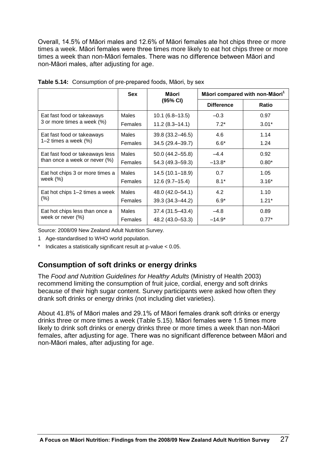Overall, 14.5% of Māori males and 12.6% of Māori females ate hot chips three or more times a week. Māori females were three times more likely to eat hot chips three or more times a week than non-Māori females. There was no difference between Māori and non-Māori males, after adjusting for age.

|                                                                  | <b>Sex</b>     | Māori              | Māori compared with non-Māori <sup>1</sup> |              |
|------------------------------------------------------------------|----------------|--------------------|--------------------------------------------|--------------|
|                                                                  |                | (95% CI)           | <b>Difference</b>                          | <b>Ratio</b> |
| Eat fast food or takeaways                                       | <b>Males</b>   | $10.1(6.8-13.5)$   | $-0.3$                                     | 0.97         |
| 3 or more times a week (%)                                       | Females        | $11.2(8.3 - 14.1)$ | $7.2*$                                     | $3.01*$      |
| Eat fast food or takeaways                                       | <b>Males</b>   | 39.8 (33.2-46.5)   | 4.6                                        | 1.14         |
| 1–2 times a week $(\%)$                                          | <b>Females</b> | 34.5 (29.4-39.7)   | $6.6*$                                     | 1.24         |
| Eat fast food or takeaways less<br>than once a week or never (%) | Males          | 50.0 (44.2-55.8)   | $-4.4$                                     | 0.92         |
|                                                                  | <b>Females</b> | 54.3 (49.3-59.3)   | $-13.8*$                                   | $0.80*$      |
| Eat hot chips 3 or more times a                                  | <b>Males</b>   | 14.5 (10.1-18.9)   | 0.7                                        | 1.05         |
| week $(%)$                                                       | Females        | $12.6(9.7-15.4)$   | $8.1*$                                     | $3.16*$      |
| Eat hot chips 1–2 times a week                                   | <b>Males</b>   | 48.0 (42.0-54.1)   | 4.2                                        | 1.10         |
| (% )                                                             | Females        | 39.3 (34.3-44.2)   | $6.9*$                                     | $1.21*$      |
| Eat hot chips less than once a                                   | <b>Males</b>   | 37.4 (31.5-43.4)   | $-4.8$                                     | 0.89         |
| week or never (%)                                                | Females        | 48.2 (43.0-53.3)   | $-14.9*$                                   | $0.77*$      |

|  | Table 5.14: Consumption of pre-prepared foods, Māori, by sex |  |
|--|--------------------------------------------------------------|--|
|  |                                                              |  |

Source: 2008/09 New Zealand Adult Nutrition Survey.

- 1 Age-standardised to WHO world population.
- Indicates a statistically significant result at  $p$ -value  $< 0.05$ .

# **Consumption of soft drinks or energy drinks**

The *Food and Nutrition Guidelines for Healthy Adults* (Ministry of Health 2003) recommend limiting the consumption of fruit juice, cordial, energy and soft drinks because of their high sugar content. Survey participants were asked how often they drank soft drinks or energy drinks (not including diet varieties).

About 41.8% of Māori males and 29.1% of Māori females drank soft drinks or energy drinks three or more times a week (Table 5.15). Māori females were 1.5 times more likely to drink soft drinks or energy drinks three or more times a week than non-Māori females, after adjusting for age. There was no significant difference between Māori and non-Māori males, after adjusting for age.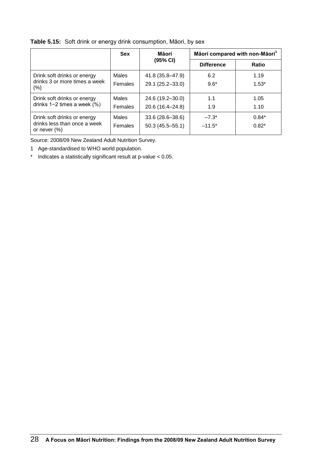#### **Table 5.15:** Soft drink or energy drink consumption, Māori, by sex

|                                                                                | <b>Sex</b>   | Māori               | Māori compared with non-Māori <sup>1</sup> |         |
|--------------------------------------------------------------------------------|--------------|---------------------|--------------------------------------------|---------|
|                                                                                |              | (95% CI)            | <b>Difference</b>                          | Ratio   |
| Drink soft drinks or energy                                                    | Males        | 41.8 (35.8-47.9)    | 6.2                                        | 1.19    |
| drinks 3 or more times a week<br>$(\% )$                                       | Females      | 29.1 (25.2-33.0)    | $9.6*$                                     | $1.53*$ |
| Drink soft drinks or energy<br>drinks $1-2$ times a week $(\%)$                | Males        | 24.6 (19.2-30.0)    | 1.1                                        | 1.05    |
|                                                                                | Females      | 20.6 (16.4-24.8)    | 1.9                                        | 1.10    |
| Drink soft drinks or energy<br>drinks less than once a week<br>or never $(\%)$ | <b>Males</b> | 33.6 (28.6-38.6)    | $-7.3*$                                    | $0.84*$ |
|                                                                                | Females      | $50.3(45.5 - 55.1)$ | $-11.5*$                                   | $0.82*$ |

Source: 2008/09 New Zealand Adult Nutrition Survey.

1 Age-standardised to WHO world population.

\* Indicates a statistically significant result at p-value < 0.05.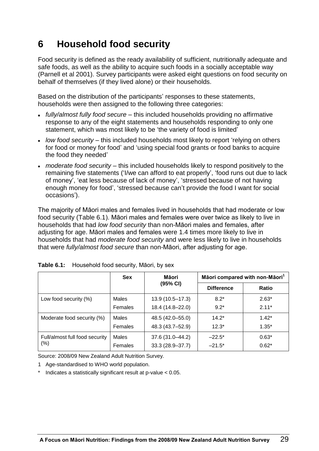# **6 Household food security**

Food security is defined as the ready availability of sufficient, nutritionally adequate and safe foods, as well as the ability to acquire such foods in a socially acceptable way (Parnell et al 2001). Survey participants were asked eight questions on food security on behalf of themselves (if they lived alone) or their households.

Based on the distribution of the participants' responses to these statements, households were then assigned to the following three categories:

- *fully/almost fully food secure* this included households providing no affirmative response to any of the eight statements and households responding to only one statement, which was most likely to be 'the variety of food is limited'
- *low food security* this included households most likely to report 'relying on others for food or money for food' and 'using special food grants or food banks to acquire the food they needed'
- *moderate food security* this included households likely to respond positively to the remaining five statements ('I/we can afford to eat properly', 'food runs out due to lack of money', 'eat less because of lack of money', 'stressed because of not having enough money for food', 'stressed because can't provide the food I want for social occasions').

The majority of Māori males and females lived in households that had moderate or low food security (Table 6.1). Māori males and females were over twice as likely to live in households that had *low food security* than non-Māori males and females, after adjusting for age. Māori males and females were 1.4 times more likely to live in households that had *moderate food security* and were less likely to live in households that were *fully/almost food secure* than non-Māori, after adjusting for age.

|                                | <b>Sex</b>     | Māori            | Māori compared with non-Māori <sup>1</sup> |              |
|--------------------------------|----------------|------------------|--------------------------------------------|--------------|
|                                |                | (95% CI)         | <b>Difference</b>                          | <b>Ratio</b> |
| Low food security (%)          | <b>Males</b>   | 13.9 (10.5-17.3) | $8.2*$                                     | $2.63*$      |
|                                | <b>Females</b> | 18.4 (14.8-22.0) | $9.2*$                                     | $2.11*$      |
| Moderate food security (%)     | <b>Males</b>   | 48.5 (42.0-55.0) | $14.2*$                                    | $1.42*$      |
|                                | Females        | 48.3 (43.7-52.9) | $12.3*$                                    | $1.35*$      |
| Full/almost full food security | Males          | 37.6 (31.0-44.2) | $-22.5*$                                   | $0.63*$      |
| $(\% )$                        | Females        | 33.3 (28.9-37.7) | $-21.5*$                                   | $0.62*$      |

|  | Table 6.1: Household food security, Māori, by sex |  |  |
|--|---------------------------------------------------|--|--|
|--|---------------------------------------------------|--|--|

Source: 2008/09 New Zealand Adult Nutrition Survey.

- 1 Age-standardised to WHO world population.
- Indicates a statistically significant result at  $p$ -value  $< 0.05$ .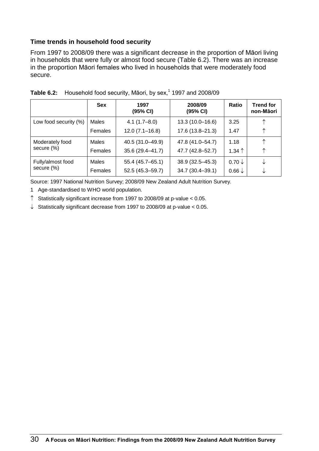#### **Time trends in household food security**

From 1997 to 2008/09 there was a significant decrease in the proportion of Māori living in households that were fully or almost food secure (Table 6.2). There was an increase in the proportion Māori females who lived in households that were moderately food secure.

|                       | <b>Sex</b> | 1997<br>(95% CI)   | 2008/09<br>(95% CI) | Ratio             | <b>Trend for</b><br>non-Māori |
|-----------------------|------------|--------------------|---------------------|-------------------|-------------------------------|
| Low food security (%) | Males      | $4.1(1.7 - 8.0)$   | 13.3 (10.0-16.6)    | 3.25              | ↑                             |
|                       | Females    | $12.0(7.1 - 16.8)$ | 17.6 (13.8-21.3)    | 1.47              | ↑                             |
| Moderately food       | Males      | 40.5 (31.0-49.9)   | 47.8 (41.0-54.7)    | 1.18              |                               |
| secure (%)            | Females    | 35.6 (29.4-41.7)   | 47.7 (42.8-52.7)    | $1.34$ $\uparrow$ | ↑                             |
| Fully/almost food     | Males      | 55.4 (45.7-65.1)   | $38.9(32.5 - 45.3)$ | $0.70 \downarrow$ |                               |
| secure (%)            | Females    | 52.5 (45.3-59.7)   | 34.7 (30.4-39.1)    | $0.66\downarrow$  |                               |

| Table 6.2: Household food security, Māori, by sex, <sup>1</sup> 1997 and 2008/09 |  |
|----------------------------------------------------------------------------------|--|
|                                                                                  |  |

Source: 1997 National Nutrition Survey; 2008/09 New Zealand Adult Nutrition Survey.

1 Age-standardised to WHO world population.

 $\uparrow$  Statistically significant increase from 1997 to 2008/09 at p-value < 0.05.

 $\downarrow$  Statistically significant decrease from 1997 to 2008/09 at p-value < 0.05.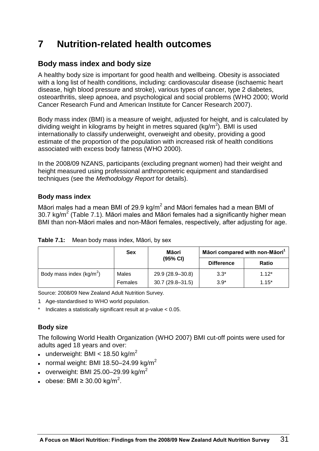# **7 Nutrition-related health outcomes**

# **Body mass index and body size**

A healthy body size is important for good health and wellbeing. Obesity is associated with a long list of health conditions, including: cardiovascular disease (ischaemic heart disease, high blood pressure and stroke), various types of cancer, type 2 diabetes, osteoarthritis, sleep apnoea, and psychological and social problems (WHO 2000; World Cancer Research Fund and American Institute for Cancer Research 2007).

Body mass index (BMI) is a measure of weight, adjusted for height, and is calculated by dividing weight in kilograms by height in metres squared (kg/m<sup>2</sup>). BMI is used internationally to classify underweight, overweight and obesity, providing a good estimate of the proportion of the population with increased risk of health conditions associated with excess body fatness (WHO 2000).

In the 2008/09 NZANS, participants (excluding pregnant women) had their weight and height measured using professional anthropometric equipment and standardised techniques (see the *Methodology Report* for details).

#### **Body mass index**

Māori males had a mean BMI of 29.9 kg/m<sup>2</sup> and Māori females had a mean BMI of 30.7 kg/m<sup>2</sup> (Table 7.1). Māori males and Māori females had a significantly higher mean BMI than non-Māori males and non-Māori females, respectively, after adjusting for age.

|                            | <b>Sex</b> | Māori               |                   | Māori compared with non-Māori <sup>1</sup> |  |
|----------------------------|------------|---------------------|-------------------|--------------------------------------------|--|
|                            |            | $(95% \text{ Cl})$  | <b>Difference</b> | Ratio                                      |  |
| Body mass index $(kq/m^2)$ | Males      | 29.9 (28.9-30.8)    | $3.3*$            | $1.12*$                                    |  |
|                            | Females    | $30.7(29.8 - 31.5)$ | $3.9*$            | $1.15*$                                    |  |

|  |  | Table 7.1: Mean body mass index, Māori, by sex |  |  |
|--|--|------------------------------------------------|--|--|
|--|--|------------------------------------------------|--|--|

Source: 2008/09 New Zealand Adult Nutrition Survey.

- 1 Age-standardised to WHO world population.
- Indicates a statistically significant result at p-value  $< 0.05$ .

#### **Body size**

The following World Health Organization (WHO 2007) BMI cut-off points were used for adults aged 18 years and over:

- $\bullet$  underweight: BMI < 18.50 kg/m<sup>2</sup>
- normal weight: BMI 18.50-24.99 kg/ $m^2$
- overweight: BMI 25.00-29.99 kg/m<sup>2</sup>
- obese: BMI ≥ 30.00 kg/m<sup>2</sup>.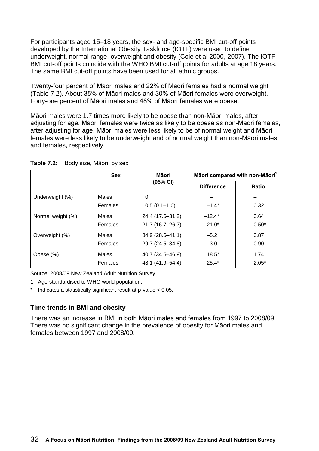For participants aged 15–18 years, the sex- and age-specific BMI cut-off points developed by the International Obesity Taskforce (IOTF) were used to define underweight, normal range, overweight and obesity (Cole et al 2000, 2007). The IOTF BMI cut-off points coincide with the WHO BMI cut-off points for adults at age 18 years. The same BMI cut-off points have been used for all ethnic groups.

Twenty-four percent of Māori males and 22% of Māori females had a normal weight (Table 7.2). About 35% of Māori males and 30% of Māori females were overweight. Forty-one percent of Māori males and 48% of Māori females were obese.

Māori males were 1.7 times more likely to be obese than non-Māori males, after adjusting for age. Māori females were twice as likely to be obese as non-Māori females, after adjusting for age. Māori males were less likely to be of normal weight and Māori females were less likely to be underweight and of normal weight than non-Māori males and females, respectively.

|                   | <b>Sex</b> | Māori            | Māori compared with non-Māori <sup>1</sup> |         |  |
|-------------------|------------|------------------|--------------------------------------------|---------|--|
|                   |            | (95% CI)         | <b>Difference</b>                          | Ratio   |  |
| Underweight (%)   | Males      | 0                |                                            |         |  |
|                   | Females    | $0.5(0.1-1.0)$   | $-1.4*$                                    | $0.32*$ |  |
| Normal weight (%) | Males      | 24.4 (17.6-31.2) | $-12.4*$                                   | $0.64*$ |  |
|                   | Females    | 21.7 (16.7-26.7) | $-21.0*$                                   | $0.50*$ |  |
| Overweight (%)    | Males      | 34.9 (28.6-41.1) | $-5.2$                                     | 0.87    |  |
|                   | Females    | 29.7 (24.5-34.8) | $-3.0$                                     | 0.90    |  |
| Obese (%)         | Males      | 40.7 (34.5-46.9) | $18.5*$                                    | $1.74*$ |  |
|                   | Females    | 48.1 (41.9-54.4) | $25.4*$                                    | $2.05*$ |  |

**Table 7.2:** Body size, Māori, by sex

Source: 2008/09 New Zealand Adult Nutrition Survey.

1 Age-standardised to WHO world population.

Indicates a statistically significant result at p-value  $< 0.05$ .

#### **Time trends in BMI and obesity**

There was an increase in BMI in both Māori males and females from 1997 to 2008/09. There was no significant change in the prevalence of obesity for Māori males and females between 1997 and 2008/09.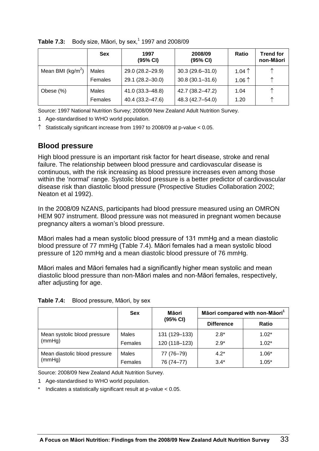|                      | <b>Sex</b> | 1997<br>(95% CI) | 2008/09<br>(95% CI) | Ratio           | <b>Trend for</b><br>non-Māori |
|----------------------|------------|------------------|---------------------|-----------------|-------------------------------|
| Mean BMI ( $kg/m2$ ) | Males      | 29.0 (28.2-29.9) | $30.3(29.6 - 31.0)$ | 1.04 $\uparrow$ | ᠰ                             |
|                      | Females    | 29.1 (28.2-30.0) | $30.8(30.1 - 31.6)$ | 1.06 $\uparrow$ | ᠰ                             |
| Obese (%)            | Males      | 41.0 (33.3-48.8) | 42.7 (38.2-47.2)    | 1.04            | ᠰ                             |
|                      | Females    | 40.4 (33.2-47.6) | 48.3 (42.7-54.0)    | 1.20            | ᠰ                             |

**Table 7.3:** Body size, Māori, by sex,<sup>1</sup> 1997 and 2008/09

Source: 1997 National Nutrition Survey; 2008/09 New Zealand Adult Nutrition Survey.

1 Age-standardised to WHO world population.

 $\uparrow$  Statistically significant increase from 1997 to 2008/09 at p-value < 0.05.

# **Blood pressure**

High blood pressure is an important risk factor for heart disease, stroke and renal failure. The relationship between blood pressure and cardiovascular disease is continuous, with the risk increasing as blood pressure increases even among those within the 'normal' range. Systolic blood pressure is a better predictor of cardiovascular disease risk than diastolic blood pressure (Prospective Studies Collaboration 2002; Neaton et al 1992).

In the 2008/09 NZANS, participants had blood pressure measured using an OMRON HEM 907 instrument. Blood pressure was not measured in pregnant women because pregnancy alters a woman's blood pressure.

Māori males had a mean systolic blood pressure of 131 mmHg and a mean diastolic blood pressure of 77 mmHg (Table 7.4). Māori females had a mean systolic blood pressure of 120 mmHg and a mean diastolic blood pressure of 76 mmHg.

Māori males and Māori females had a significantly higher mean systolic and mean diastolic blood pressure than non-Māori males and non-Māori females, respectively, after adjusting for age.

| Table 7.4: | Blood pressure, Māori, by sex |  |  |
|------------|-------------------------------|--|--|
|------------|-------------------------------|--|--|

|                               | <b>Sex</b> | Māori         |                   | Māori compared with non-Māori <sup>1</sup> |  |  |
|-------------------------------|------------|---------------|-------------------|--------------------------------------------|--|--|
|                               |            | (95% CI)      | <b>Difference</b> | Ratio                                      |  |  |
| Mean systolic blood pressure  | Males      | 131 (129-133) | $2.8*$            | $1.02*$                                    |  |  |
| (mmHg)                        | Females    | 120 (118-123) | $2.9*$            | $1.02*$                                    |  |  |
| Mean diastolic blood pressure | Males      | 77 (76-79)    | $4.2*$            | $1.06*$                                    |  |  |
| (mmHg)                        | Females    | 76 (74-77)    | $3.4*$            | $1.05*$                                    |  |  |

Source: 2008/09 New Zealand Adult Nutrition Survey.

1 Age-standardised to WHO world population.

Indicates a statistically significant result at  $p$ -value  $< 0.05$ .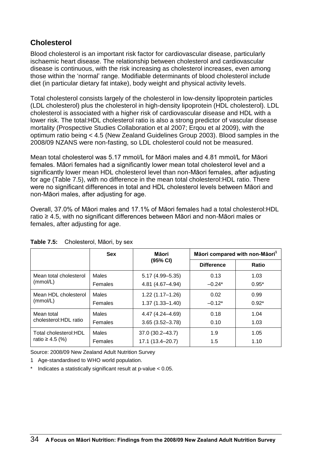# **Cholesterol**

Blood cholesterol is an important risk factor for cardiovascular disease, particularly ischaemic heart disease. The relationship between cholesterol and cardiovascular disease is continuous, with the risk increasing as cholesterol increases, even among those within the 'normal' range. Modifiable determinants of blood cholesterol include diet (in particular dietary fat intake), body weight and physical activity levels.

Total cholesterol consists largely of the cholesterol in low-density lipoprotein particles (LDL cholesterol) plus the cholesterol in high-density lipoprotein (HDL cholesterol). LDL cholesterol is associated with a higher risk of cardiovascular disease and HDL with a lower risk. The total:HDL cholesterol ratio is also a strong predictor of vascular disease mortality (Prospective Studies Collaboration et al 2007; Erqou et al 2009), with the optimum ratio being < 4.5 (New Zealand Guidelines Group 2003). Blood samples in the 2008/09 NZANS were non-fasting, so LDL cholesterol could not be measured.

Mean total cholesterol was 5.17 mmol/L for Māori males and 4.81 mmol/L for Māori females. Māori females had a significantly lower mean total cholesterol level and a significantly lower mean HDL cholesterol level than non-Māori females, after adjusting for age (Table 7.5), with no difference in the mean total cholesterol:HDL ratio. There were no significant differences in total and HDL cholesterol levels between Māori and non-Māori males, after adjusting for age.

Overall, 37.0% of Māori males and 17.1% of Māori females had a total cholesterol:HDL ratio ≥ 4.5, with no significant differences between Māori and non-Māori males or females, after adjusting for age.

|                                      | <b>Sex</b>     | Māori               | Māori compared with non-Māori <sup>1</sup> |         |  |
|--------------------------------------|----------------|---------------------|--------------------------------------------|---------|--|
|                                      |                | (95% CI)            | <b>Difference</b>                          | Ratio   |  |
| Mean total cholesterol               | <b>Males</b>   | $5.17(4.99 - 5.35)$ | 0.13                                       | 1.03    |  |
| (mmol/L)                             | Females        | 4.81 (4.67-4.94)    | $-0.24*$                                   | $0.95*$ |  |
| Mean HDL cholesterol                 | <b>Males</b>   | $1.22(1.17 - 1.26)$ | 0.02                                       | 0.99    |  |
| (mmol/L)                             | <b>Females</b> | $1.37(1.33 - 1.40)$ | $-0.12*$                                   | $0.92*$ |  |
| Mean total<br>cholesterol: HDL ratio | Males          | 4.47 (4.24 - 4.69)  | 0.18                                       | 1.04    |  |
|                                      | <b>Females</b> | $3.65(3.52 - 3.78)$ | 0.10                                       | 1.03    |  |
| Total cholesterol: HDL               | Males          | 37.0 (30.2-43.7)    | 1.9                                        | 1.05    |  |
| ratio ≥ 4.5 (%)                      | Females        | 17.1 (13.4-20.7)    | 1.5                                        | 1.10    |  |

**Table 7.5:** Cholesterol, Māori, by sex

Source: 2008/09 New Zealand Adult Nutrition Survey

1 Age-standardised to WHO world population.

\* Indicates a statistically significant result at p-value < 0.05.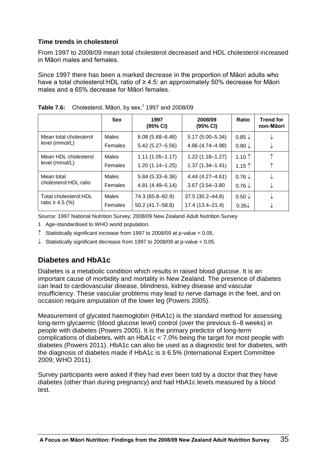#### **Time trends in cholesterol**

From 1997 to 2008/09 mean total cholesterol decreased and HDL cholesterol increased in Māori males and females.

Since 1997 there has been a marked decrease in the proportion of Māori adults who have a total cholesterol:HDL ratio of ≥ 4.5: an approximately 50% decrease for Māori males and a 65% decrease for Māori females.

|                                        | <b>Sex</b> | 1997<br>(95% CI)    | 2008/09<br>(95% CI) | Ratio             | <b>Trend for</b><br>non-Māori |
|----------------------------------------|------------|---------------------|---------------------|-------------------|-------------------------------|
| Mean total cholesterol                 | Males      | $6.08(5.68 - 6.48)$ | $5.17(5.00 - 5.34)$ | $0.85\downarrow$  |                               |
| level (mmol/L)                         | Females    | $5.42(5.27 - 5.56)$ | 4.86 (4.74-4.98)    | $0.90\downarrow$  | ◡                             |
| Mean HDL cholesterol<br>level (mmol/L) | Males      | $1.11(1.05 - 1.17)$ | $1.22(1.18 - 1.27)$ | 1.10 $\uparrow$   |                               |
|                                        | Females    | $1.20(1.14 - 1.25)$ | $1.37(1.34 - 1.41)$ | $1.15$ $\uparrow$ | ↑                             |
| Mean total                             | Males      | $5.84(5.33 - 6.36)$ | 4.44 (4.27-4.61)    | $0.76 \downarrow$ |                               |
| cholesterol: HDL ratio                 | Females    | 4.81 (4.49-5.14)    | 3.67 (3.54-3.80)    | $0.76\downarrow$  | ◡                             |
| Total cholesterol: HDL                 | Males      | 74.3 (65.8-82.9)    | 37.5 (30.2-44.8)    | $0.50 \downarrow$ |                               |
| ratio ≥ 4.5 $(\%)$                     | Females    | 50.2 (41.7-58.8)    | 17.4 (13.4-21.4)    | $0.35\sqrt{ }$    |                               |

**Table 7.6:** Cholesterol, Māori, by sex,<sup>1</sup> 1997 and 2008/09

Source: 1997 National Nutrition Survey; 2008/09 New Zealand Adult Nutrition Survey

- 1 Age-standardised to WHO world population.
- $\uparrow$  Statistically significant increase from 1997 to 2008/09 at p-value < 0.05.
- $\downarrow$  Statistically significant decrease from 1997 to 2008/09 at p-value < 0.05.

# **Diabetes and HbA1c**

Diabetes is a metabolic condition which results in raised blood glucose. It is an important cause of morbidity and mortality in New Zealand. The presence of diabetes can lead to cardiovascular disease, blindness, kidney disease and vascular insufficiency. These vascular problems may lead to nerve damage in the feet, and on occasion require amputation of the lower leg (Powers 2005).

Measurement of glycated haemoglobin (HbA1c) is the standard method for assessing long-term glycaemic (blood glucose level) control (over the previous 6–8 weeks) in people with diabetes (Powers 2005). It is the primary predictor of long-term complications of diabetes, with an HbA1c < 7.0% being the target for most people with diabetes (Powers 2011). HbA1c can also be used as a diagnostic test for diabetes, with the diagnosis of diabetes made if HbA1c is  $\geq 6.5\%$  (International Expert Committee 2009; WHO 2011).

Survey participants were asked if they had ever been told by a doctor that they have diabetes (other than during pregnancy) and had HbA1c levels measured by a blood test.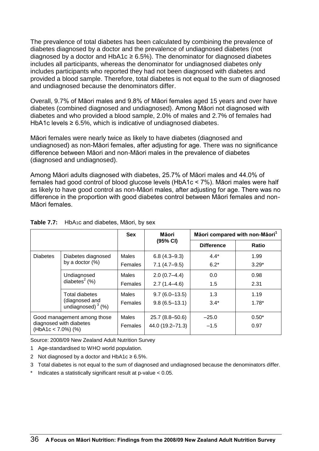The prevalence of total diabetes has been calculated by combining the prevalence of diabetes diagnosed by a doctor and the prevalence of undiagnosed diabetes (not diagnosed by a doctor and HbA1c  $\geq$  6.5%). The denominator for diagnosed diabetes includes all participants, whereas the denominator for undiagnosed diabetes only includes participants who reported they had not been diagnosed with diabetes and provided a blood sample. Therefore, total diabetes is not equal to the sum of diagnosed and undiagnosed because the denominators differ.

Overall, 9.7% of Māori males and 9.8% of Māori females aged 15 years and over have diabetes (combined diagnosed and undiagnosed). Among Māori not diagnosed with diabetes and who provided a blood sample, 2.0% of males and 2.7% of females had HbA1c levels  $\geq 6.5\%$ , which is indicative of undiagnosed diabetes.

Māori females were nearly twice as likely to have diabetes (diagnosed and undiagnosed) as non-Māori females, after adjusting for age. There was no significance difference between Māori and non-Māori males in the prevalence of diabetes (diagnosed and undiagnosed).

Among Māori adults diagnosed with diabetes, 25.7% of Māori males and 44.0% of females had good control of blood glucose levels (HbA1c < 7%). Māori males were half as likely to have good control as non-Māori males, after adjusting for age. There was no difference in the proportion with good diabetes control between Māori females and non-Māori females.

|                             |                                        | <b>Sex</b>     | Māori             | Māori compared with non-Māori <sup>1</sup> |              |  |
|-----------------------------|----------------------------------------|----------------|-------------------|--------------------------------------------|--------------|--|
|                             |                                        |                | (95% CI)          | <b>Difference</b>                          | <b>Ratio</b> |  |
| <b>Diabetes</b>             | Diabetes diagnosed                     | Males          | $6.8(4.3-9.3)$    | $4.4*$                                     | 1.99         |  |
|                             | by a doctor $(\%)$                     | <b>Females</b> | $7.1(4.7-9.5)$    | $6.2*$                                     | $3.29*$      |  |
|                             | Undiagnosed                            | Males          | $2.0(0.7-4.4)$    | 0.0                                        | 0.98         |  |
|                             | diabetes $2$ (%)                       | Females        | $2.7(1.4 - 4.6)$  | 1.5                                        | 2.31         |  |
|                             | <b>Total diabetes</b>                  | <b>Males</b>   | $9.7(6.0-13.5)$   | 1.3                                        | 1.19         |  |
|                             | (diagnosed and<br>undiagnosed) $3$ (%) | <b>Females</b> | $9.8(6.5 - 13.1)$ | $3.4*$                                     | $1.78*$      |  |
| Good management among those |                                        | Males          | 25.7 (8.8-50.6)   | $-25.0$                                    | $0.50*$      |  |
| $(HbA1c < 7.0\%)$ (%)       | diagnosed with diabetes                | <b>Females</b> | 44.0 (19.2-71.3)  | $-1.5$                                     | 0.97         |  |

#### **Table 7.7:** HbA1c and diabetes, Māori, by sex

Source: 2008/09 New Zealand Adult Nutrition Survey

- 1 Age-standardised to WHO world population.
- 2 Not diagnosed by a doctor and  $HbA1c \geq 6.5\%$ .
- 3 Total diabetes is not equal to the sum of diagnosed and undiagnosed because the denominators differ.
- \* Indicates a statistically significant result at p-value < 0.05.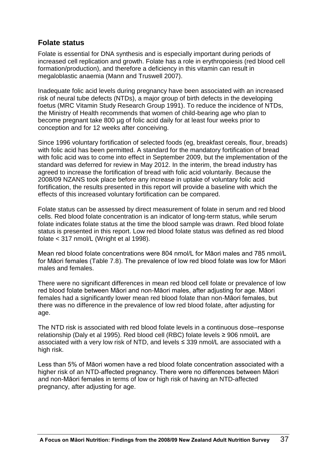## **Folate status**

Folate is essential for DNA synthesis and is especially important during periods of increased cell replication and growth. Folate has a role in erythropoiesis (red blood cell formation/production), and therefore a deficiency in this vitamin can result in megaloblastic anaemia (Mann and Truswell 2007).

Inadequate folic acid levels during pregnancy have been associated with an increased risk of neural tube defects (NTDs), a major group of birth defects in the developing foetus (MRC Vitamin Study Research Group 1991). To reduce the incidence of NTDs, the Ministry of Health recommends that women of child-bearing age who plan to become pregnant take 800 µg of folic acid daily for at least four weeks prior to conception and for 12 weeks after conceiving.

Since 1996 voluntary fortification of selected foods (eg, breakfast cereals, flour, breads) with folic acid has been permitted. A standard for the mandatory fortification of bread with folic acid was to come into effect in September 2009, but the implementation of the standard was deferred for review in May 2012. In the interim, the bread industry has agreed to increase the fortification of bread with folic acid voluntarily. Because the 2008/09 NZANS took place before any increase in uptake of voluntary folic acid fortification, the results presented in this report will provide a baseline with which the effects of this increased voluntary fortification can be compared.

Folate status can be assessed by direct measurement of folate in serum and red blood cells. Red blood folate concentration is an indicator of long-term status, while serum folate indicates folate status at the time the blood sample was drawn. Red blood folate status is presented in this report. Low red blood folate status was defined as red blood folate < 317 nmol/L (Wright et al 1998).

Mean red blood folate concentrations were 804 nmol/L for Māori males and 785 nmol/L for Māori females (Table 7.8). The prevalence of low red blood folate was low for Māori males and females.

There were no significant differences in mean red blood cell folate or prevalence of low red blood folate between Māori and non-Māori males, after adjusting for age. Māori females had a significantly lower mean red blood folate than non-Māori females, but there was no difference in the prevalence of low red blood folate, after adjusting for age.

The NTD risk is associated with red blood folate levels in a continuous dose–response relationship (Daly et al 1995). Red blood cell (RBC) folate levels ≥ 906 nmol/L are associated with a very low risk of NTD, and levels  $\leq$  339 nmol/L are associated with a high risk.

Less than 5% of Māori women have a red blood folate concentration associated with a higher risk of an NTD-affected pregnancy. There were no differences between Māori and non-Māori females in terms of low or high risk of having an NTD-affected pregnancy, after adjusting for age.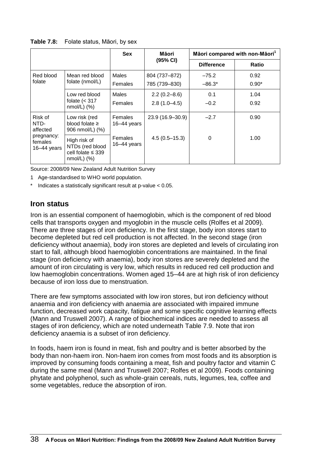**Table 7.8:** Folate status, Māori, by sex

|                                                                     |                                                                                | <b>Sex</b>                      | Māori                              | Māori compared with non-Māori <sup>1</sup> |                 |
|---------------------------------------------------------------------|--------------------------------------------------------------------------------|---------------------------------|------------------------------------|--------------------------------------------|-----------------|
|                                                                     |                                                                                |                                 | (95% CI)                           | <b>Difference</b>                          | Ratio           |
| Red blood<br>folate                                                 | Mean red blood<br>folate (nmol/L)                                              | <b>Males</b><br>Females         | 804 (737-872)<br>785 (739-830)     | $-75.2$<br>$-86.3*$                        | 0.92<br>$0.90*$ |
|                                                                     | Low red blood<br>folate $(317nmol/L) (%)$                                      | Males<br>Females                | $2.2(0.2 - 8.6)$<br>$2.8(1.0-4.5)$ | 0.1<br>$-0.2$                              | 1.04<br>0.92    |
| Risk of<br>NTD-<br>affected<br>pregnancy:<br>females<br>16-44 years | Low risk (red<br>blood folate $\geq$<br>906 nmol/L) (%)                        | <b>Females</b><br>$16-44$ years | 23.9 (16.9-30.9)                   | $-2.7$                                     | 0.90            |
|                                                                     | High risk of<br>NTDs (red blood<br>cell folate $\leq$ 339<br>$nmol/L$ ) $(\%)$ | <b>Females</b><br>16-44 years   | $4.5(0.5 - 15.3)$                  | $\Omega$                                   | 1.00            |

Source: 2008/09 New Zealand Adult Nutrition Survey

1 Age-standardised to WHO world population.

Indicates a statistically significant result at  $p$ -value  $< 0.05$ .

### **Iron status**

Iron is an essential component of haemoglobin, which is the component of red blood cells that transports oxygen and myoglobin in the muscle cells (Rolfes et al 2009). There are three stages of iron deficiency. In the first stage, body iron stores start to become depleted but red cell production is not affected. In the second stage (iron deficiency without anaemia), body iron stores are depleted and levels of circulating iron start to fall, although blood haemoglobin concentrations are maintained. In the final stage (iron deficiency with anaemia), body iron stores are severely depleted and the amount of iron circulating is very low, which results in reduced red cell production and low haemoglobin concentrations. Women aged 15–44 are at high risk of iron deficiency because of iron loss due to menstruation.

There are few symptoms associated with low iron stores, but iron deficiency without anaemia and iron deficiency with anaemia are associated with impaired immune function, decreased work capacity, fatigue and some specific cognitive learning effects (Mann and Truswell 2007). A range of biochemical indices are needed to assess all stages of iron deficiency, which are noted underneath Table 7.9. Note that iron deficiency anaemia is a subset of iron deficiency.

In foods, haem iron is found in meat, fish and poultry and is better absorbed by the body than non-haem iron. Non-haem iron comes from most foods and its absorption is improved by consuming foods containing a meat, fish and poultry factor and vitamin C during the same meal (Mann and Truswell 2007; Rolfes et al 2009). Foods containing phytate and polyphenol, such as whole-grain cereals, nuts, legumes, tea, coffee and some vegetables, reduce the absorption of iron.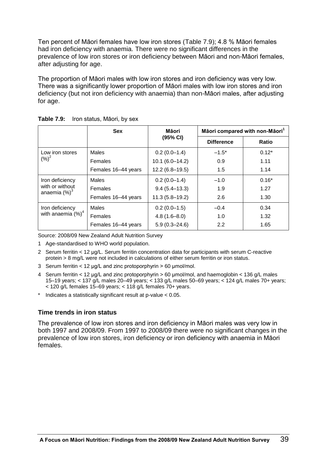Ten percent of Māori females have low iron stores (Table 7.9); 4.8 % Māori females had iron deficiency with anaemia. There were no significant differences in the prevalence of low iron stores or iron deficiency between Māori and non-Māori females, after adjusting for age.

The proportion of Māori males with low iron stores and iron deficiency was very low. There was a significantly lower proportion of Māori males with low iron stores and iron deficiency (but not iron deficiency with anaemia) than non-Māori males, after adjusting for age.

|                                                        | <b>Sex</b>          | Māori<br>(95% CI)   | Māori compared with non-Māori <sup>1</sup> |              |
|--------------------------------------------------------|---------------------|---------------------|--------------------------------------------|--------------|
|                                                        |                     |                     | <b>Difference</b>                          | <b>Ratio</b> |
| Low iron stores<br>$(\%)^2$                            | Males               | $0.2(0.0-1.4)$      | $-1.5^*$                                   | $0.12*$      |
|                                                        | Females             | $10.1 (6.0 - 14.2)$ | 0.9                                        | 1.11         |
|                                                        | Females 16-44 years | $12.2(6.8-19.5)$    | 1.5                                        | 1.14         |
| Iron deficiency<br>with or without<br>anaemia $(\%)^3$ | Males               | $0.2(0.0-1.4)$      | $-1.0$                                     | $0.16*$      |
|                                                        | Females             | $9.4(5.4 - 13.3)$   | 1.9                                        | 1.27         |
|                                                        | Females 16-44 years | $11.3(5.8 - 19.2)$  | 2.6                                        | 1.30         |
| Iron deficiency<br>with anaemia $(\%)^4$               | Males               | $0.2(0.0-1.5)$      | $-0.4$                                     | 0.34         |
|                                                        | Females             | $4.8(1.6 - 8.0)$    | 1.0                                        | 1.32         |
|                                                        | Females 16-44 years | $5.9(0.3 - 24.6)$   | 2.2                                        | 1.65         |

**Table 7.9:** Iron status, Māori, by sex

Source: 2008/09 New Zealand Adult Nutrition Survey

- 1 Age-standardised to WHO world population.
- 2 Serum ferritin < 12 μg/L. Serum ferritin concentration data for participants with serum C-reactive protein > 8 mg/L were not included in calculations of either serum ferritin or iron status.
- 3 Serum ferritin < 12 μg/L and zinc protoporphyrin > 60 μmol/mol.
- 4 Serum ferritin < 12 μg/L and zinc protoporphyrin > 60 μmol/mol, and haemoglobin < 136 g/L males 15–19 years; < 137 g/L males 20–49 years; < 133 g/L males 50–69 years; < 124 g/L males 70+ years; < 120 g/L females 15–69 years; < 118 g/L females 70+ years.
- Indicates a statistically significant result at  $p$ -value  $< 0.05$ .

#### **Time trends in iron status**

The prevalence of low iron stores and iron deficiency in Māori males was very low in both 1997 and 2008/09. From 1997 to 2008/09 there were no significant changes in the prevalence of low iron stores, iron deficiency or iron deficiency with anaemia in Māori females.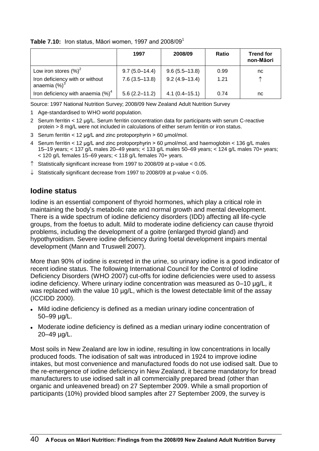#### **Table 7.10:** Iron status, Māori women, 1997 and 2008/09<sup>1</sup>

|                                                     | 1997              | 2008/09           | <b>Ratio</b> | <b>Trend for</b><br>non-Māori |
|-----------------------------------------------------|-------------------|-------------------|--------------|-------------------------------|
| Low iron stores $(\%)^2$                            | $9.7(5.0-14.4)$   | $9.6(5.5-13.8)$   | 0.99         | nc                            |
| Iron deficiency with or without<br>anaemia $(\%)^3$ | $7.6(3.5-13.8)$   | $9.2(4.9 - 13.4)$ | 1.21         | ᠰ                             |
| Iron deficiency with anaemia $(\%)^4$               | $5.6(2.2 - 11.2)$ | $4.1(0.4 - 15.1)$ | 0.74         | nc                            |

Source: 1997 National Nutrition Survey; 2008/09 New Zealand Adult Nutrition Survey

- 1 Age-standardised to WHO world population.
- 2 Serum ferritin < 12 μg/L. Serum ferritin concentration data for participants with serum C-reactive protein > 8 mg/L were not included in calculations of either serum ferritin or iron status.
- 3 Serum ferritin < 12 μg/L and zinc protoporphyrin > 60 μmol/mol.
- 4 Serum ferritin < 12 μg/L and zinc protoporphyrin > 60 μmol/mol, and haemoglobin < 136 g/L males 15–19 years; < 137 g/L males 20–49 years; < 133 g/L males 50–69 years; < 124 g/L males 70+ years;  $<$  120 g/L females 15–69 years;  $<$  118 g/L females 70+ years.
- $\uparrow$  Statistically significant increase from 1997 to 2008/09 at p-value < 0.05.
- $\downarrow$  Statistically significant decrease from 1997 to 2008/09 at p-value < 0.05.

#### **Iodine status**

Iodine is an essential component of thyroid hormones, which play a critical role in maintaining the body's metabolic rate and normal growth and mental development. There is a wide spectrum of iodine deficiency disorders (IDD) affecting all life-cycle groups, from the foetus to adult. Mild to moderate iodine deficiency can cause thyroid problems, including the development of a goitre (enlarged thyroid gland) and hypothyroidism. Severe iodine deficiency during foetal development impairs mental development (Mann and Truswell 2007).

More than 90% of iodine is excreted in the urine, so urinary iodine is a good indicator of recent iodine status. The following International Council for the Control of Iodine Deficiency Disorders (WHO 2007) cut-offs for iodine deficiencies were used to assess iodine deficiency. Where urinary iodine concentration was measured as 0–10 µg/L, it was replaced with the value 10 µg/L, which is the lowest detectable limit of the assay (ICCIDD 2000).

- Mild iodine deficiency is defined as a median urinary iodine concentration of 50–99 µg/L.
- Moderate iodine deficiency is defined as a median urinary iodine concentration of 20–49 µg/L.

Most soils in New Zealand are low in iodine, resulting in low concentrations in locally produced foods. The iodisation of salt was introduced in 1924 to improve iodine intakes, but most convenience and manufactured foods do not use iodised salt. Due to the re-emergence of iodine deficiency in New Zealand, it became mandatory for bread manufacturers to use iodised salt in all commercially prepared bread (other than organic and unleavened bread) on 27 September 2009. While a small proportion of participants (10%) provided blood samples after 27 September 2009, the survey is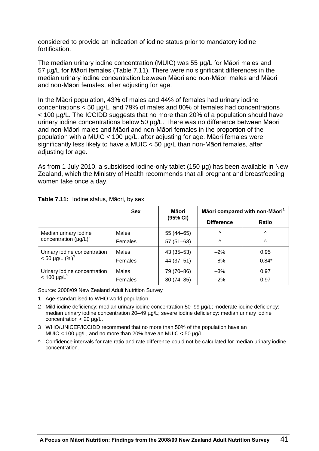considered to provide an indication of iodine status prior to mandatory iodine fortification.

The median urinary iodine concentration (MUIC) was 55 µg/L for Māori males and 57 µg/L for Māori females (Table 7.11). There were no significant differences in the median urinary iodine concentration between Māori and non-Māori males and Māori and non-Māori females, after adjusting for age.

In the Māori population, 43% of males and 44% of females had urinary iodine concentrations < 50 µg/L, and 79% of males and 80% of females had concentrations < 100 µg/L. The ICCIDD suggests that no more than 20% of a population should have urinary iodine concentrations below 50 µg/L. There was no difference between Māori and non-Māori males and Māori and non-Māori females in the proportion of the population with a MUIC < 100 µg/L, after adjusting for age. Māori females were significantly less likely to have a MUIC < 50 µg/L than non-Māori females, after adjusting for age.

As from 1 July 2010, a subsidised iodine-only tablet (150 µg) has been available in New Zealand, which the Ministry of Health recommends that all pregnant and breastfeeding women take once a day.

|                              | <b>Sex</b>   | Māori         | Māori compared with non-Māori <sup>1</sup> |              |
|------------------------------|--------------|---------------|--------------------------------------------|--------------|
|                              |              | (95% CI)      | <b>Difference</b>                          | <b>Ratio</b> |
| Median urinary iodine        | <b>Males</b> | 55 (44 - 65)  | $\wedge$                                   | $\wedge$     |
| concentration $(\mu g/L)^2$  | Females      | $57(51-63)$   | $\wedge$                                   | $\wedge$     |
| Urinary iodine concentration | Males        | $43(35 - 53)$ | $-2\%$                                     | 0.95         |
| $< 50 \mu g/L (%)^3$         | Females      | 44 (37-51)    | $-8%$                                      | $0.84*$      |
| Urinary iodine concentration | Males        | 79 (70-86)    | $-3%$                                      | 0.97         |
| $< 100 \text{ µg/L}^{3}$     | Females      | 80 (74-85)    | $-2%$                                      | 0.97         |

**Table 7.11:** Iodine status, Māori, by sex

Source: 2008/09 New Zealand Adult Nutrition Survey

- 1 Age-standardised to WHO world population.
- 2 Mild iodine deficiency: median urinary iodine concentration 50–99 µg/L; moderate iodine deficiency: median urinary iodine concentration 20-49 µg/L; severe iodine deficiency: median urinary iodine concentration  $<$  20 µg/L.
- 3 WHO/UNICEF/ICCIDD recommend that no more than 50% of the population have an MUIC < 100  $\mu$ g/L, and no more than 20% have an MUIC < 50  $\mu$ g/L.
- ^ Confidence intervals for rate ratio and rate difference could not be calculated for median urinary iodine concentration.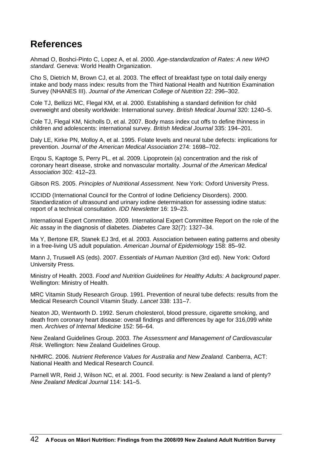# **References**

Ahmad O, Boshci-Pinto C, Lopez A, et al. 2000. *Age-standardization of Rates: A new WHO standard.* Geneva: World Health Organization.

Cho S, Dietrich M, Brown CJ, et al. 2003. The effect of breakfast type on total daily energy intake and body mass index: results from the Third National Health and Nutrition Examination Survey (NHANES III). *Journal of the American College of Nutrition* 22: 296–302.

Cole TJ, Bellizzi MC, Flegal KM, et al. 2000. Establishing a standard definition for child overweight and obesity worldwide: International survey. *British Medical Journal* 320: 1240–5.

Cole TJ, Flegal KM, Nicholls D, et al. 2007. Body mass index cut offs to define thinness in children and adolescents: international survey. *British Medical Journal* 335: 194–201.

Daly LE, Kirke PN, Molloy A, et al. 1995. Folate levels and neural tube defects: implications for prevention. *Journal of the American Medical Association* 274: 1698–702.

Erqou S, Kaptoge S, Perry PL, et al. 2009. Lipoprotein (a) concentration and the risk of coronary heart disease, stroke and nonvascular mortality. *Journal of the American Medical Association* 302: 412–23.

Gibson RS. 2005. *Principles of Nutritional Assessment.* New York: Oxford University Press.

ICCIDD (International Council for the Control of Iodine Deficiency Disorders). 2000. Standardization of ultrasound and urinary iodine determination for assessing iodine status: report of a technical consultation. *IDD Newsletter* 16: 19–23.

International Expert Committee. 2009. International Expert Committee Report on the role of the Alc assay in the diagnosis of diabetes. *Diabetes Care* 32(7): 1327–34.

Ma Y, Bertone ER, Stanek EJ 3rd, et al. 2003. Association between eating patterns and obesity in a free-living US adult population. *American Journal of Epidemiology* 158: 85–92.

Mann J, Truswell AS (eds). 2007. *Essentials of Human Nutrition* (3rd ed). New York: Oxford University Press.

Ministry of Health. 2003. *Food and Nutrition Guidelines for Healthy Adults: A background paper.*  Wellington: Ministry of Health.

MRC Vitamin Study Research Group. 1991. Prevention of neural tube defects: results from the Medical Research Council Vitamin Study. *Lancet* 338: 131–7.

Neaton JD, Wentworth D. 1992. Serum cholesterol, blood pressure, cigarette smoking, and death from coronary heart disease: overall findings and differences by age for 316,099 white men. *Archives of Internal Medicine* 152: 56–64.

New Zealand Guidelines Group. 2003. *The Assessment and Management of Cardiovascular Risk*. Wellington: New Zealand Guidelines Group.

NHMRC. 2006. *Nutrient Reference Values for Australia and New Zealand.* Canberra, ACT: National Health and Medical Research Council.

Parnell WR, Reid J, Wilson NC, et al. 2001. Food security: is New Zealand a land of plenty? *New Zealand Medical Journal* 114: 141–5.